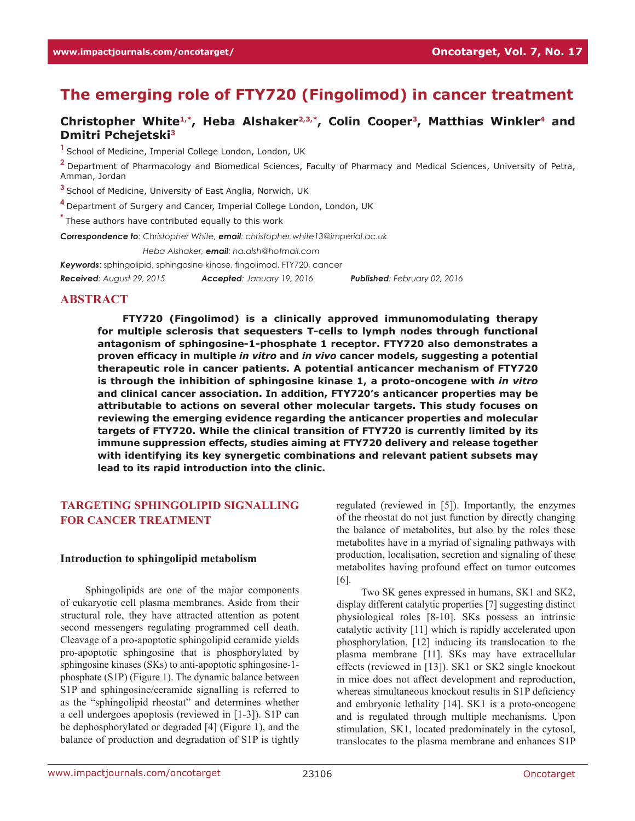# **The emerging role of FTY720 (Fingolimod) in cancer treatment**

# Christopher White<sup>1,\*</sup>, Heba Alshaker<sup>2,3,\*</sup>, Colin Cooper<sup>3</sup>, Matthias Winkler<sup>4</sup> and **Dmitri Pchejetski3**

<sup>1</sup> School of Medicine, Imperial College London, London, UK

**<sup>2</sup>**Department of Pharmacology and Biomedical Sciences, Faculty of Pharmacy and Medical Sciences, University of Petra, Amman, Jordan

**<sup>3</sup>**School of Medicine, University of East Anglia, Norwich, UK

**<sup>4</sup>**Department of Surgery and Cancer, Imperial College London, London, UK

**\*** These authors have contributed equally to this work

*Correspondence to: Christopher White, email: christopher.white13@imperial.ac.uk*

*Correspondence to: Heba Alshaker, email: ha.alsh@hotmail.com*

*Keywords*: sphingolipid, sphingosine kinase, fingolimod, FTY720, cancer

*Received: August 29, 2015 Accepted: January 19, 2016 Published: February 02, 2016*

## **ABSTRACT**

**FTY720 (Fingolimod) is a clinically approved immunomodulating therapy for multiple sclerosis that sequesters T-cells to lymph nodes through functional antagonism of sphingosine-1-phosphate 1 receptor. FTY720 also demonstrates a proven efficacy in multiple** *in vitro* **and** *in vivo* **cancer models, suggesting a potential therapeutic role in cancer patients. A potential anticancer mechanism of FTY720 is through the inhibition of sphingosine kinase 1, a proto-oncogene with** *in vitro*  **and clinical cancer association. In addition, FTY720's anticancer properties may be attributable to actions on several other molecular targets. This study focuses on reviewing the emerging evidence regarding the anticancer properties and molecular targets of FTY720. While the clinical transition of FTY720 is currently limited by its immune suppression effects, studies aiming at FTY720 delivery and release together with identifying its key synergetic combinations and relevant patient subsets may lead to its rapid introduction into the clinic.**

# **Targeting sphingolipid signalling for cancer treatment**

#### **Introduction to sphingolipid metabolism**

Sphingolipids are one of the major components of eukaryotic cell plasma membranes. Aside from their structural role, they have attracted attention as potent second messengers regulating programmed cell death. Cleavage of a pro-apoptotic sphingolipid ceramide yields pro-apoptotic sphingosine that is phosphorylated by sphingosine kinases (SKs) to anti-apoptotic sphingosine-1 phosphate (S1P) (Figure 1). The dynamic balance between S1P and sphingosine/ceramide signalling is referred to as the "sphingolipid rheostat" and determines whether a cell undergoes apoptosis (reviewed in [1-3]). S1P can be dephosphorylated or degraded [4] (Figure 1), and the balance of production and degradation of S1P is tightly

regulated (reviewed in [5]). Importantly, the enzymes of the rheostat do not just function by directly changing the balance of metabolites, but also by the roles these metabolites have in a myriad of signaling pathways with production, localisation, secretion and signaling of these metabolites having profound effect on tumor outcomes [6].

Two SK genes expressed in humans, SK1 and SK2, display different catalytic properties [7] suggesting distinct physiological roles [8-10]. SKs possess an intrinsic catalytic activity [11] which is rapidly accelerated upon phosphorylation, [12] inducing its translocation to the plasma membrane [11]. SKs may have extracellular effects (reviewed in [13]). SK1 or SK2 single knockout in mice does not affect development and reproduction, whereas simultaneous knockout results in S1P deficiency and embryonic lethality [14]. SK1 is a proto-oncogene and is regulated through multiple mechanisms. Upon stimulation, SK1, located predominately in the cytosol, translocates to the plasma membrane and enhances S1P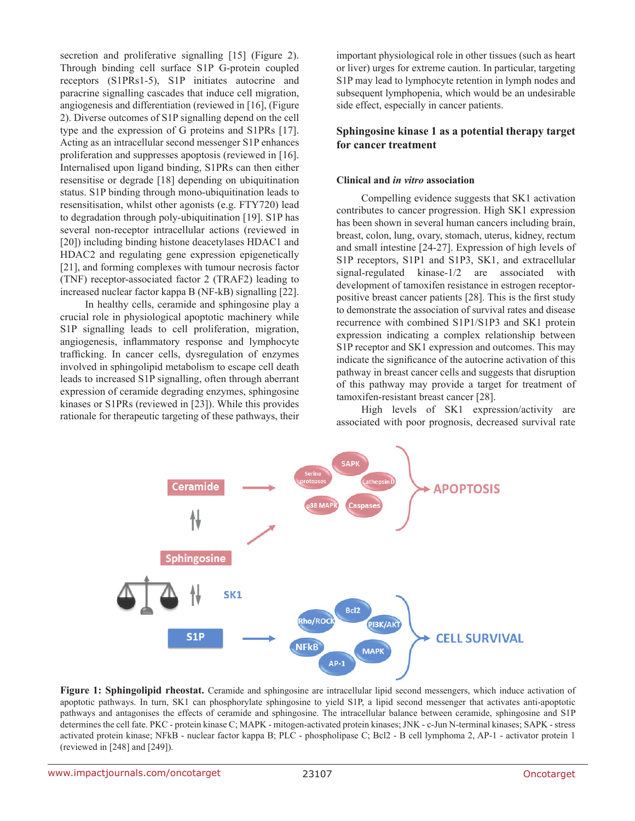secretion and proliferative signalling [15] (Figure 2). Through binding cell surface S1P G-protein coupled receptors (S1PRs1-5), S1P initiates autocrine and paracrine signalling cascades that induce cell migration, angiogenesis and differentiation (reviewed in [16], (Figure 2). Diverse outcomes of S1P signalling depend on the cell type and the expression of G proteins and S1PRs [17]. Acting as an intracellular second messenger S1P enhances proliferation and suppresses apoptosis (reviewed in [16]. Internalised upon ligand binding, S1PRs can then either resensitise or degrade [18] depending on ubiquitination status. S1P binding through mono-ubiquitination leads to resensitisation, whilst other agonists (e.g. FTY720) lead to degradation through poly-ubiquitination [19]. S1P has several non-receptor intracellular actions (reviewed in [20]) including binding histone deacetylases HDAC1 and HDAC2 and regulating gene expression epigenetically [21], and forming complexes with tumour necrosis factor (TNF) receptor-associated factor 2 (TRAF2) leading to increased nuclear factor kappa B (NF-kB) signalling [22].

In healthy cells, ceramide and sphingosine play a crucial role in physiological apoptotic machinery while S1P signalling leads to cell proliferation, migration, angiogenesis, inflammatory response and lymphocyte trafficking. In cancer cells, dysregulation of enzymes involved in sphingolipid metabolism to escape cell death leads to increased S1P signalling, often through aberrant expression of ceramide degrading enzymes, sphingosine kinases or S1PRs (reviewed in [23]). While this provides rationale for therapeutic targeting of these pathways, their important physiological role in other tissues (such as heart or liver) urges for extreme caution. In particular, targeting S1P may lead to lymphocyte retention in lymph nodes and subsequent lymphopenia, which would be an undesirable side effect, especially in cancer patients.

## **Sphingosine kinase 1 as a potential therapy target for cancer treatment**

## **Clinical and** *in vitro* **association**

Compelling evidence suggests that SK1 activation contributes to cancer progression. High SK1 expression has been shown in several human cancers including brain, breast, colon, lung, ovary, stomach, uterus, kidney, rectum and small intestine [24-27]. Expression of high levels of S1P receptors, S1P1 and S1P3, SK1, and extracellular signal-regulated kinase-1/2 are associated with development of tamoxifen resistance in estrogen receptorpositive breast cancer patients [28]. This is the first study to demonstrate the association of survival rates and disease recurrence with combined S1P1/S1P3 and SK1 protein expression indicating a complex relationship between S1P receptor and SK1 expression and outcomes. This may indicate the significance of the autocrine activation of this pathway in breast cancer cells and suggests that disruption of this pathway may provide a target for treatment of tamoxifen-resistant breast cancer [28].

High levels of SK1 expression/activity are associated with poor prognosis, decreased survival rate



**Figure 1: Sphingolipid rheostat.** Ceramide and sphingosine are intracellular lipid second messengers, which induce activation of apoptotic pathways. In turn, SK1 can phosphorylate sphingosine to yield S1P, a lipid second messenger that activates anti-apoptotic pathways and antagonises the effects of ceramide and sphingosine. The intracellular balance between ceramide, sphingosine and S1P determines the cell fate. PKC - protein kinase C; MAPK - mitogen-activated protein kinases; JNK - c-Jun N-terminal kinases; SAPK - stress activated protein kinase; NFkB - nuclear factor kappa B; PLC - phospholipase C; Bcl2 - B cell lymphoma 2, AP-1 - activator protein 1 (reviewed in [248] and [249]).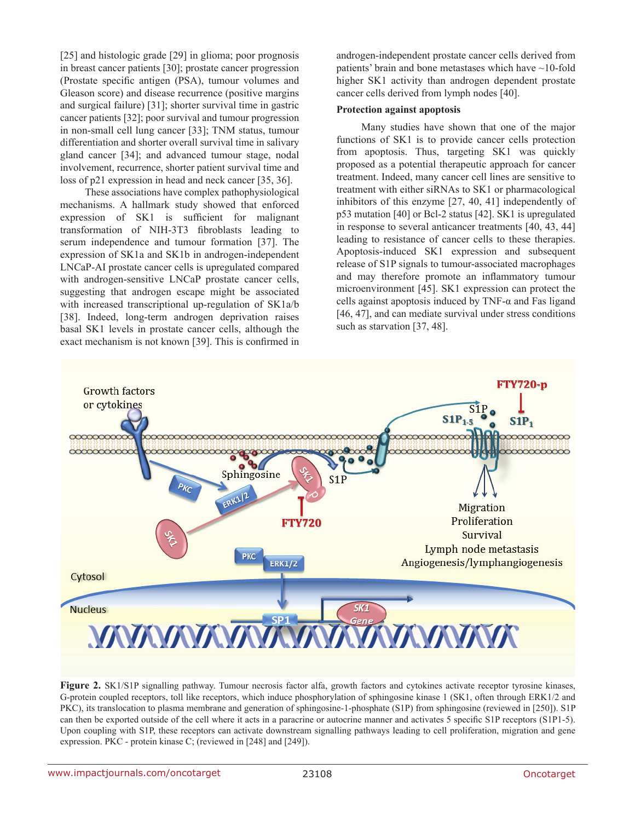[25] and histologic grade [29] in glioma; poor prognosis in breast cancer patients [30]; prostate cancer progression (Prostate specific antigen (PSA), tumour volumes and Gleason score) and disease recurrence (positive margins and surgical failure) [31]; shorter survival time in gastric cancer patients [32]; poor survival and tumour progression in non-small cell lung cancer [33]; TNM status, tumour differentiation and shorter overall survival time in salivary gland cancer [34]; and advanced tumour stage, nodal involvement, recurrence, shorter patient survival time and loss of p21 expression in head and neck cancer [35, 36].

These associations have complex pathophysiological mechanisms. A hallmark study showed that enforced expression of SK1 is sufficient for malignant transformation of NIH-3T3 fibroblasts leading to serum independence and tumour formation [37]. The expression of SK1a and SK1b in androgen-independent LNCaP-AI prostate cancer cells is upregulated compared with androgen-sensitive LNCaP prostate cancer cells, suggesting that androgen escape might be associated with increased transcriptional up-regulation of SK1a/b [38]. Indeed, long-term androgen deprivation raises basal SK1 levels in prostate cancer cells, although the exact mechanism is not known [39]. This is confirmed in

androgen-independent prostate cancer cells derived from patients' brain and bone metastases which have ~10-fold higher SK1 activity than androgen dependent prostate cancer cells derived from lymph nodes [40].

#### **Protection against apoptosis**

Many studies have shown that one of the major functions of SK1 is to provide cancer cells protection from apoptosis. Thus, targeting SK1 was quickly proposed as a potential therapeutic approach for cancer treatment. Indeed, many cancer cell lines are sensitive to treatment with either siRNAs to SK1 or pharmacological inhibitors of this enzyme [27, 40, 41] independently of p53 mutation [40] or Bcl-2 status [42]. SK1 is upregulated in response to several anticancer treatments [40, 43, 44] leading to resistance of cancer cells to these therapies. Apoptosis-induced SK1 expression and subsequent release of S1P signals to tumour-associated macrophages and may therefore promote an inflammatory tumour microenvironment [45]. SK1 expression can protect the cells against apoptosis induced by TNF-α and Fas ligand [46, 47], and can mediate survival under stress conditions such as starvation [37, 48].



**Figure 2.** SK1/S1P signalling pathway. Tumour necrosis factor alfa, growth factors and cytokines activate receptor tyrosine kinases, G-protein coupled receptors, toll like receptors, which induce phosphorylation of sphingosine kinase 1 (SK1, often through ERK1/2 and PKC), its translocation to plasma membrane and generation of sphingosine-1-phosphate (S1P) from sphingosine (reviewed in [250]). S1P can then be exported outside of the cell where it acts in a paracrine or autocrine manner and activates 5 specific S1P receptors (S1P1-5). Upon coupling with S1P, these receptors can activate downstream signalling pathways leading to cell proliferation, migration and gene expression. PKC - protein kinase C; (reviewed in [248] and [249]).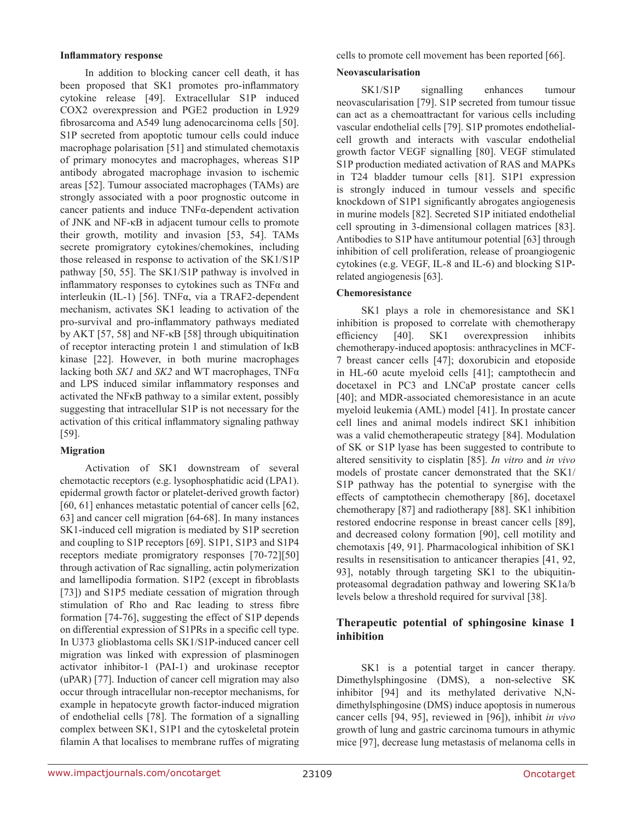#### **Inflammatory response**

In addition to blocking cancer cell death, it has been proposed that SK1 promotes pro-inflammatory cytokine release [49]. Extracellular S1P induced COX2 overexpression and PGE2 production in L929 fibrosarcoma and A549 lung adenocarcinoma cells [50]. S1P secreted from apoptotic tumour cells could induce macrophage polarisation [51] and stimulated chemotaxis of primary monocytes and macrophages, whereas S1P antibody abrogated macrophage invasion to ischemic areas [52]. Tumour associated macrophages (TAMs) are strongly associated with a poor prognostic outcome in cancer patients and induce TNFα-dependent activation of JNK and NF-κB in adjacent tumour cells to promote their growth, motility and invasion [53, 54]. TAMs secrete promigratory cytokines/chemokines, including those released in response to activation of the SK1/S1P pathway [50, 55]. The SK1/S1P pathway is involved in inflammatory responses to cytokines such as TNFα and interleukin (IL-1) [56]. TNFα, via a TRAF2-dependent mechanism, activates SK1 leading to activation of the pro-survival and pro-inflammatory pathways mediated by AKT [57, 58] and NF-κB [58] through ubiquitination of receptor interacting protein 1 and stimulation of IκB kinase [22]. However, in both murine macrophages lacking both *SK1* and *SK2* and WT macrophages, TNFα and LPS induced similar inflammatory responses and activated the NFκB pathway to a similar extent, possibly suggesting that intracellular S1P is not necessary for the activation of this critical inflammatory signaling pathway [59].

## **Migration**

Activation of SK1 downstream of several chemotactic receptors (e.g. lysophosphatidic acid (LPA1). epidermal growth factor or platelet-derived growth factor) [60, 61] enhances metastatic potential of cancer cells [62, 63] and cancer cell migration [64-68]. In many instances SK1-induced cell migration is mediated by S1P secretion and coupling to S1P receptors [69]. S1P1, S1P3 and S1P4 receptors mediate promigratory responses [70-72][50] through activation of Rac signalling, actin polymerization and lamellipodia formation. S1P2 (except in fibroblasts [73]) and S1P5 mediate cessation of migration through stimulation of Rho and Rac leading to stress fibre formation [74-76], suggesting the effect of S1P depends on differential expression of S1PRs in a specific cell type. In U373 glioblastoma cells SK1/S1P-induced cancer cell migration was linked with expression of plasminogen activator inhibitor-1 (PAI-1) and urokinase receptor (uPAR) [77]. Induction of cancer cell migration may also occur through intracellular non-receptor mechanisms, for example in hepatocyte growth factor-induced migration of endothelial cells [78]. The formation of a signalling complex between SK1, S1P1 and the cytoskeletal protein filamin A that localises to membrane ruffes of migrating cells to promote cell movement has been reported [66].

## **Neovascularisation**

SK1/S1P signalling enhances tumour neovascularisation [79]. S1P secreted from tumour tissue can act as a chemoattractant for various cells including vascular endothelial cells [79]. S1P promotes endothelialcell growth and interacts with vascular endothelial growth factor VEGF signalling [80]. VEGF stimulated S1P production mediated activation of RAS and MAPKs in T24 bladder tumour cells [81]. S1P1 expression is strongly induced in tumour vessels and specific knockdown of S1P1 significantly abrogates angiogenesis in murine models [82]. Secreted S1P initiated endothelial cell sprouting in 3-dimensional collagen matrices [83]. Antibodies to S1P have antitumour potential [63] through inhibition of cell proliferation, release of proangiogenic cytokines (e.g. VEGF, IL-8 and IL-6) and blocking S1Prelated angiogenesis [63].

# **Chemoresistance**

SK1 plays a role in chemoresistance and SK1 inhibition is proposed to correlate with chemotherapy efficiency [40]. SK1 overexpression inhibits chemotherapy-induced apoptosis: anthracyclines in MCF-7 breast cancer cells [47]; doxorubicin and etoposide in HL-60 acute myeloid cells [41]; camptothecin and docetaxel in PC3 and LNCaP prostate cancer cells [40]; and MDR-associated chemoresistance in an acute myeloid leukemia (AML) model [41]. In prostate cancer cell lines and animal models indirect SK1 inhibition was a valid chemotherapeutic strategy [84]. Modulation of SK or S1P lyase has been suggested to contribute to altered sensitivity to cisplatin [85]. *In vitro* and *in vivo*  models of prostate cancer demonstrated that the SK1/ S1P pathway has the potential to synergise with the effects of camptothecin chemotherapy [86], docetaxel chemotherapy [87] and radiotherapy [88]. SK1 inhibition restored endocrine response in breast cancer cells [89], and decreased colony formation [90], cell motility and chemotaxis [49, 91]. Pharmacological inhibition of SK1 results in resensitisation to anticancer therapies [41, 92, 93], notably through targeting SK1 to the ubiquitinproteasomal degradation pathway and lowering SK1a/b levels below a threshold required for survival [38].

# **Therapeutic potential of sphingosine kinase 1 inhibition**

SK1 is a potential target in cancer therapy. Dimethylsphingosine (DMS), a non-selective SK inhibitor [94] and its methylated derivative N,Ndimethylsphingosine (DMS) induce apoptosis in numerous cancer cells [94, 95], reviewed in [96]), inhibit *in vivo* growth of lung and gastric carcinoma tumours in athymic mice [97], decrease lung metastasis of melanoma cells in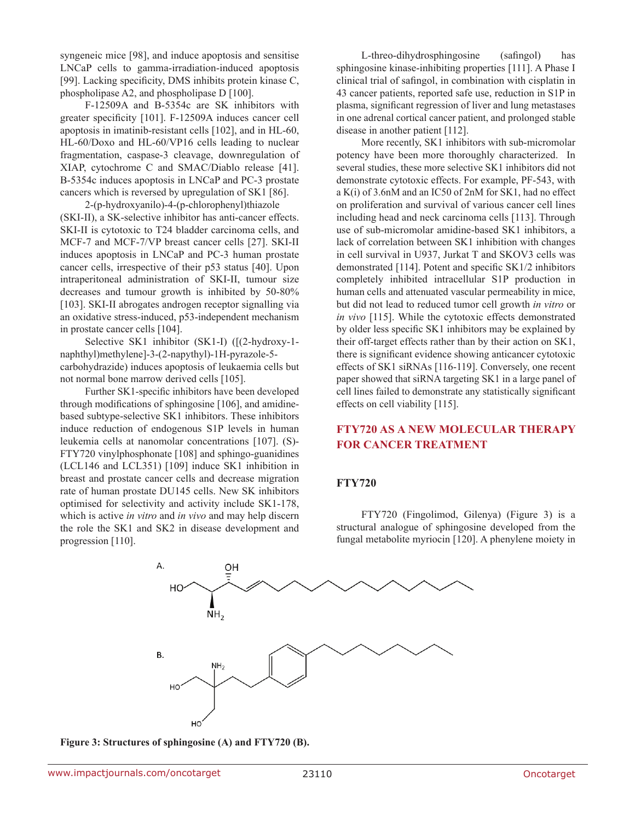syngeneic mice [98], and induce apoptosis and sensitise LNCaP cells to gamma-irradiation-induced apoptosis [99]. Lacking specificity, DMS inhibits protein kinase C, phospholipase A2, and phospholipase D [100].

F-12509A and B-5354c are SK inhibitors with greater specificity [101]. F-12509A induces cancer cell apoptosis in imatinib-resistant cells [102], and in HL-60, HL-60/Doxo and HL-60/VP16 cells leading to nuclear fragmentation, caspase-3 cleavage, downregulation of XIAP, cytochrome C and SMAC/Diablo release [41]. B-5354c induces apoptosis in LNCaP and PC-3 prostate cancers which is reversed by upregulation of SK1 [86].

2-(p-hydroxyanilo)-4-(p-chlorophenyl)thiazole (SKI-II), a SK-selective inhibitor has anti-cancer effects. SKI-II is cytotoxic to T24 bladder carcinoma cells, and MCF-7 and MCF-7/VP breast cancer cells [27]. SKI-II induces apoptosis in LNCaP and PC-3 human prostate cancer cells, irrespective of their p53 status [40]. Upon intraperitoneal administration of SKI-II, tumour size decreases and tumour growth is inhibited by 50-80% [103]. SKI-II abrogates androgen receptor signalling via an oxidative stress-induced, p53-independent mechanism in prostate cancer cells [104].

Selective SK1 inhibitor (SK1-I) ([(2-hydroxy-1 naphthyl)methylene]-3-(2-napythyl)-1H-pyrazole-5 carbohydrazide) induces apoptosis of leukaemia cells but not normal bone marrow derived cells [105].

Further SK1-specific inhibitors have been developed through modifications of sphingosine [106], and amidinebased subtype-selective SK1 inhibitors. These inhibitors induce reduction of endogenous S1P levels in human leukemia cells at nanomolar concentrations [107]. (S)- FTY720 vinylphosphonate [108] and sphingo-guanidines (LCL146 and LCL351) [109] induce SK1 inhibition in breast and prostate cancer cells and decrease migration rate of human prostate DU145 cells. New SK inhibitors optimised for selectivity and activity include SK1-178, which is active *in vitro* and *in vivo* and may help discern the role the SK1 and SK2 in disease development and progression [110].

L-threo-dihydrosphingosine (safingol) has sphingosine kinase-inhibiting properties [111]. A Phase I clinical trial of safingol, in combination with cisplatin in 43 cancer patients, reported safe use, reduction in S1P in plasma, significant regression of liver and lung metastases in one adrenal cortical cancer patient, and prolonged stable disease in another patient [112].

More recently, SK1 inhibitors with sub-micromolar potency have been more thoroughly characterized. In several studies, these more selective SK1 inhibitors did not demonstrate cytotoxic effects. For example, PF-543, with a K(i) of 3.6nM and an IC50 of 2nM for SK1, had no effect on proliferation and survival of various cancer cell lines including head and neck carcinoma cells [113]. Through use of sub-micromolar amidine-based SK1 inhibitors, a lack of correlation between SK1 inhibition with changes in cell survival in U937, Jurkat T and SKOV3 cells was demonstrated [114]. Potent and specific SK1/2 inhibitors completely inhibited intracellular S1P production in human cells and attenuated vascular permeability in mice, but did not lead to reduced tumor cell growth *in vitro* or *in vivo* [115]. While the cytotoxic effects demonstrated by older less specific SK1 inhibitors may be explained by their off-target effects rather than by their action on SK1, there is significant evidence showing anticancer cytotoxic effects of SK1 siRNAs [116-119]. Conversely, one recent paper showed that siRNA targeting SK1 in a large panel of cell lines failed to demonstrate any statistically significant effects on cell viability [115].

# **FTY720 as a new molecular therapy for cancer treatment**

## **FTY720**

FTY720 (Fingolimod, Gilenya) (Figure 3) is a structural analogue of sphingosine developed from the fungal metabolite myriocin [120]. A phenylene moiety in



**Figure 3: Structures of sphingosine (A) and FTY720 (B).**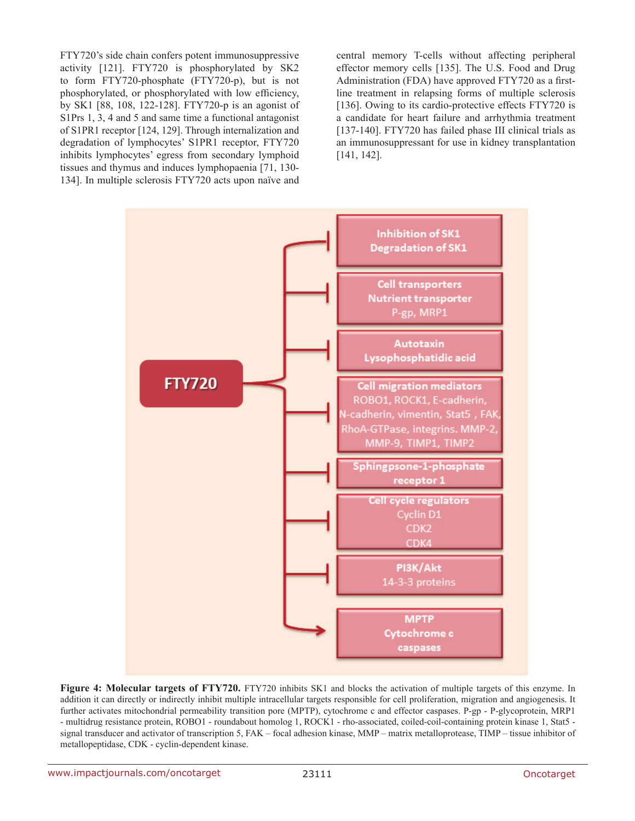FTY720's side chain confers potent immunosuppressive activity [121]. FTY720 is phosphorylated by SK2 to form FTY720-phosphate (FTY720-p), but is not phosphorylated, or phosphorylated with low efficiency, by SK1 [88, 108, 122-128]. FTY720-p is an agonist of S1Prs 1, 3, 4 and 5 and same time a functional antagonist of S1PR1 receptor [124, 129]. Through internalization and degradation of lymphocytes' S1PR1 receptor, FTY720 inhibits lymphocytes' egress from secondary lymphoid tissues and thymus and induces lymphopaenia [71, 130- 134]. In multiple sclerosis FTY720 acts upon naïve and central memory T-cells without affecting peripheral effector memory cells [135]. The U.S. Food and Drug Administration (FDA) have approved FTY720 as a firstline treatment in relapsing forms of multiple sclerosis [136]. Owing to its cardio-protective effects FTY720 is a candidate for heart failure and arrhythmia treatment [137-140]. FTY720 has failed phase III clinical trials as an immunosuppressant for use in kidney transplantation [141, 142].



**Figure 4: Molecular targets of FTY720.** FTY720 inhibits SK1 and blocks the activation of multiple targets of this enzyme. In addition it can directly or indirectly inhibit multiple intracellular targets responsible for cell proliferation, migration and angiogenesis. It further activates mitochondrial permeability transition pore (MPTP), cytochrome c and effector caspases. P-gp - P-glycoprotein, MRP1 - multidrug resistance protein, ROBO1 - roundabout homolog 1, ROCK1 - rho-associated, coiled-coil-containing protein kinase 1, Stat5 signal transducer and activator of transcription 5, FAK – focal adhesion kinase, MMP – matrix metalloprotease, TIMP – tissue inhibitor of metallopeptidase, CDK - cyclin-dependent kinase.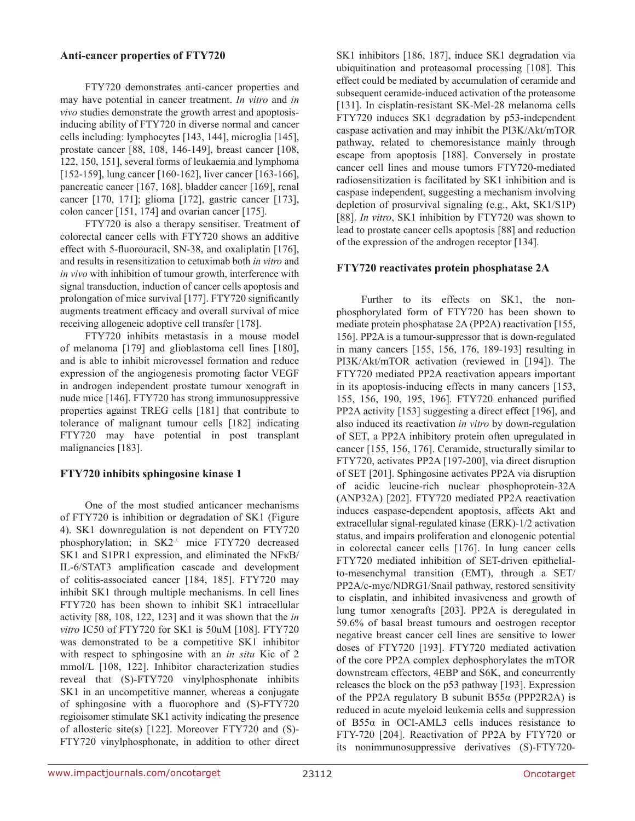## **Anti-cancer properties of FTY720**

FTY720 demonstrates anti-cancer properties and may have potential in cancer treatment. *In vitro* and *in vivo* studies demonstrate the growth arrest and apoptosisinducing ability of FTY720 in diverse normal and cancer cells including: lymphocytes [143, 144], microglia [145], prostate cancer [88, 108, 146-149], breast cancer [108, 122, 150, 151], several forms of leukaemia and lymphoma [152-159], lung cancer [160-162], liver cancer [163-166], pancreatic cancer [167, 168], bladder cancer [169], renal cancer [170, 171]; glioma [172], gastric cancer [173], colon cancer [151, 174] and ovarian cancer [175].

FTY720 is also a therapy sensitiser. Treatment of colorectal cancer cells with FTY720 shows an additive effect with 5-fluorouracil, SN-38, and oxaliplatin [176], and results in resensitization to cetuximab both *in vitro* and *in vivo* with inhibition of tumour growth, interference with signal transduction, induction of cancer cells apoptosis and prolongation of mice survival [177]. FTY720 significantly augments treatment efficacy and overall survival of mice receiving allogeneic adoptive cell transfer [178].

FTY720 inhibits metastasis in a mouse model of melanoma [179] and glioblastoma cell lines [180], and is able to inhibit microvessel formation and reduce expression of the angiogenesis promoting factor VEGF in androgen independent prostate tumour xenograft in nude mice [146]. FTY720 has strong immunosuppressive properties against TREG cells [181] that contribute to tolerance of malignant tumour cells [182] indicating FTY720 may have potential in post transplant malignancies [183].

# **FTY720 inhibits sphingosine kinase 1**

One of the most studied anticancer mechanisms of FTY720 is inhibition or degradation of SK1 (Figure 4). SK1 downregulation is not dependent on FTY720 phosphorylation; in SK2<sup>-/-</sup> mice FTY720 decreased SK1 and S1PR1 expression, and eliminated the NFκB/ IL-6/STAT3 amplification cascade and development of colitis-associated cancer [184, 185]. FTY720 may inhibit SK1 through multiple mechanisms. In cell lines FTY720 has been shown to inhibit SK1 intracellular activity [88, 108, 122, 123] and it was shown that the *in vitro* IC50 of FTY720 for SK1 is 50uM [108]. FTY720 was demonstrated to be a competitive SK1 inhibitor with respect to sphingosine with an *in situ* Kic of 2 mmol/L [108, 122]. Inhibitor characterization studies reveal that (S)-FTY720 vinylphosphonate inhibits SK1 in an uncompetitive manner, whereas a conjugate of sphingosine with a fluorophore and (S)-FTY720 regioisomer stimulate SK1 activity indicating the presence of allosteric site(s) [122]. Moreover FTY720 and (S)- FTY720 vinylphosphonate, in addition to other direct SK1 inhibitors [186, 187], induce SK1 degradation via ubiquitination and proteasomal processing [108]. This effect could be mediated by accumulation of ceramide and subsequent ceramide-induced activation of the proteasome [131]. In cisplatin-resistant SK-Mel-28 melanoma cells FTY720 induces SK1 degradation by p53-independent caspase activation and may inhibit the PI3K/Akt/mTOR pathway, related to chemoresistance mainly through escape from apoptosis [188]. Conversely in prostate cancer cell lines and mouse tumors FTY720-mediated radiosensitization is facilitated by SK1 inhibition and is caspase independent, suggesting a mechanism involving depletion of prosurvival signaling (e.g., Akt, SK1/S1P) [88]. *In vitro*, SK1 inhibition by FTY720 was shown to lead to prostate cancer cells apoptosis [88] and reduction of the expression of the androgen receptor [134].

# **FTY720 reactivates protein phosphatase 2A**

Further to its effects on SK1, the nonphosphorylated form of FTY720 has been shown to mediate protein phosphatase 2A (PP2A) reactivation [155, 156]. PP2A is a tumour-suppressor that is down-regulated in many cancers [155, 156, 176, 189-193] resulting in PI3K/Akt/mTOR activation (reviewed in [194]). The FTY720 mediated PP2A reactivation appears important in its apoptosis-inducing effects in many cancers [153, 155, 156, 190, 195, 196]. FTY720 enhanced purified PP2A activity [153] suggesting a direct effect [196], and also induced its reactivation *in vitro* by down-regulation of SET, a PP2A inhibitory protein often upregulated in cancer [155, 156, 176]. Ceramide, structurally similar to FTY720, activates PP2A [197-200], via direct disruption of SET [201]. Sphingosine activates PP2A via disruption of acidic leucine-rich nuclear phosphoprotein-32A (ANP32A) [202]. FTY720 mediated PP2A reactivation induces caspase-dependent apoptosis, affects Akt and extracellular signal-regulated kinase (ERK)-1/2 activation status, and impairs proliferation and clonogenic potential in colorectal cancer cells [176]. In lung cancer cells FTY720 mediated inhibition of SET-driven epithelialto-mesenchymal transition (EMT), through a SET/ PP2A/c-myc/NDRG1/Snail pathway, restored sensitivity to cisplatin, and inhibited invasiveness and growth of lung tumor xenografts [203]. PP2A is deregulated in 59.6% of basal breast tumours and oestrogen receptor negative breast cancer cell lines are sensitive to lower doses of FTY720 [193]. FTY720 mediated activation of the core PP2A complex dephosphorylates the mTOR downstream effectors, 4EBP and S6K, and concurrently releases the block on the p53 pathway [193]. Expression of the PP2A regulatory B subunit  $B55\alpha$  (PPP2R2A) is reduced in acute myeloid leukemia cells and suppression of B55α in OCI-AML3 cells induces resistance to FTY-720 [204]. Reactivation of PP2A by FTY720 or its nonimmunosuppressive derivatives (S)-FTY720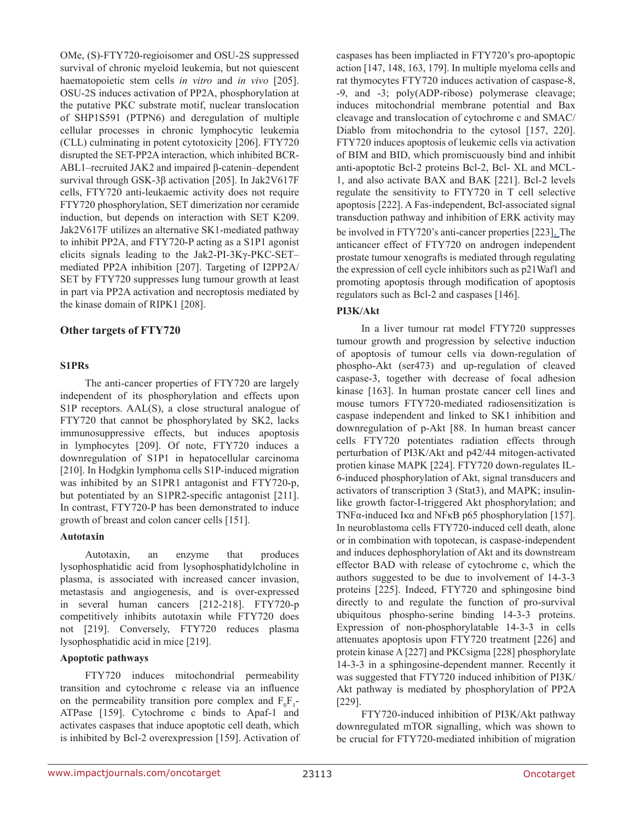OMe, (S)-FTY720-regioisomer and OSU-2S suppressed survival of chronic myeloid leukemia, but not quiescent haematopoietic stem cells *in vitro* and *in vivo* [205]. OSU-2S induces activation of PP2A, phosphorylation at the putative PKC substrate motif, nuclear translocation of SHP1S591 (PTPN6) and deregulation of multiple cellular processes in chronic lymphocytic leukemia (CLL) culminating in potent cytotoxicity [206]. FTY720 disrupted the SET-PP2A interaction, which inhibited BCR-ABL1–recruited JAK2 and impaired β-catenin–dependent survival through GSK-3β activation [205]. In Jak2V617F cells, FTY720 anti-leukaemic activity does not require FTY720 phosphorylation, SET dimerization nor ceramide induction, but depends on interaction with SET K209. Jak2V617F utilizes an alternative SK1-mediated pathway to inhibit PP2A, and FTY720-P acting as a S1P1 agonist elicits signals leading to the Jak2-PI-3Kγ-PKC-SET– mediated PP2A inhibition [207]. Targeting of I2PP2A/ SET by FTY720 suppresses lung tumour growth at least in part via PP2A activation and necroptosis mediated by the kinase domain of RIPK1 [208].

## **Other targets of FTY720**

#### **S1PRs**

The anti-cancer properties of FTY720 are largely independent of its phosphorylation and effects upon S1P receptors. AAL(S), a close structural analogue of FTY720 that cannot be phosphorylated by SK2, lacks immunosuppressive effects, but induces apoptosis in lymphocytes [209]. Of note, FTY720 induces a downregulation of S1P1 in hepatocellular carcinoma [210]. In Hodgkin lymphoma cells S1P-induced migration was inhibited by an S1PR1 antagonist and FTY720-p, but potentiated by an S1PR2-specific antagonist [211]. In contrast, FTY720-P has been demonstrated to induce growth of breast and colon cancer cells [151].

#### **Autotaxin**

Autotaxin, an enzyme that produces lysophosphatidic acid from lysophosphatidylcholine in plasma, is associated with increased cancer invasion, metastasis and angiogenesis, and is over-expressed in several human cancers [212-218]. FTY720-p competitively inhibits autotaxin while FTY720 does not [219]. Conversely, FTY720 reduces plasma lysophosphatidic acid in mice [219].

#### **Apoptotic pathways**

FTY720 induces mitochondrial permeability transition and cytochrome c release via an influence on the permeability transition pore complex and  $F_0F_1$ -ATPase [159]. Cytochrome c binds to Apaf-1 and activates caspases that induce apoptotic cell death, which is inhibited by Bcl-2 overexpression [159]. Activation of caspases has been impliacted in FTY720's pro-apoptopic action [147, 148, 163, 179]. In multiple myeloma cells and rat thymocytes FTY720 induces activation of caspase-8, -9, and -3; poly(ADP-ribose) polymerase cleavage; induces mitochondrial membrane potential and Bax cleavage and translocation of cytochrome c and SMAC/ Diablo from mitochondria to the cytosol [157, 220]. FTY720 induces apoptosis of leukemic cells via activation of BIM and BID, which promiscuously bind and inhibit anti-apoptotic Bcl-2 proteins Bcl-2, Bcl- XL and MCL-1, and also activate BAX and BAK [221]. Bcl-2 levels regulate the sensitivity to FTY720 in T cell selective apoptosis [222]. A Fas-independent, Bcl-associated signal transduction pathway and inhibition of ERK activity may be involved in FTY720's anti-cancer properties [223]. The anticancer effect of FTY720 on androgen independent prostate tumour xenografts is mediated through regulating the expression of cell cycle inhibitors such as p21Waf1 and promoting apoptosis through modification of apoptosis regulators such as Bcl-2 and caspases [146].

#### **PI3K/Akt**

In a liver tumour rat model FTY720 suppresses tumour growth and progression by selective induction of apoptosis of tumour cells via down-regulation of phospho-Akt (ser473) and up-regulation of cleaved caspase-3, together with decrease of focal adhesion kinase [163]. In human prostate cancer cell lines and mouse tumors FTY720-mediated radiosensitization is caspase independent and linked to SK1 inhibition and downregulation of p-Akt [88. In human breast cancer cells FTY720 potentiates radiation effects through perturbation of PI3K/Akt and p42/44 mitogen-activated protien kinase MAPK [224]. FTY720 down-regulates IL-6-induced phosphorylation of Akt, signal transducers and activators of transcription 3 (Stat3), and MAPK; insulinlike growth factor-I-triggered Akt phosphorylation; and TNFα-induced Iκα and NFκB p65 phosphorylation [157]. In neuroblastoma cells FTY720-induced cell death, alone or in combination with topotecan, is caspase-independent and induces dephosphorylation of Akt and its downstream effector BAD with release of cytochrome c, which the authors suggested to be due to involvement of 14-3-3 proteins [225]. Indeed, FTY720 and sphingosine bind directly to and regulate the function of pro-survival ubiquitous phospho-serine binding 14-3-3 proteins. Expression of non-phosphorylatable 14-3-3 in cells attenuates apoptosis upon FTY720 treatment [226] and protein kinase A [227] and PKCsigma [228] phosphorylate 14-3-3 in a sphingosine-dependent manner. Recently it was suggested that FTY720 induced inhibition of PI3K/ Akt pathway is mediated by phosphorylation of PP2A [229].

FTY720-induced inhibition of PI3K/Akt pathway downregulated mTOR signalling, which was shown to be crucial for FTY720-mediated inhibition of migration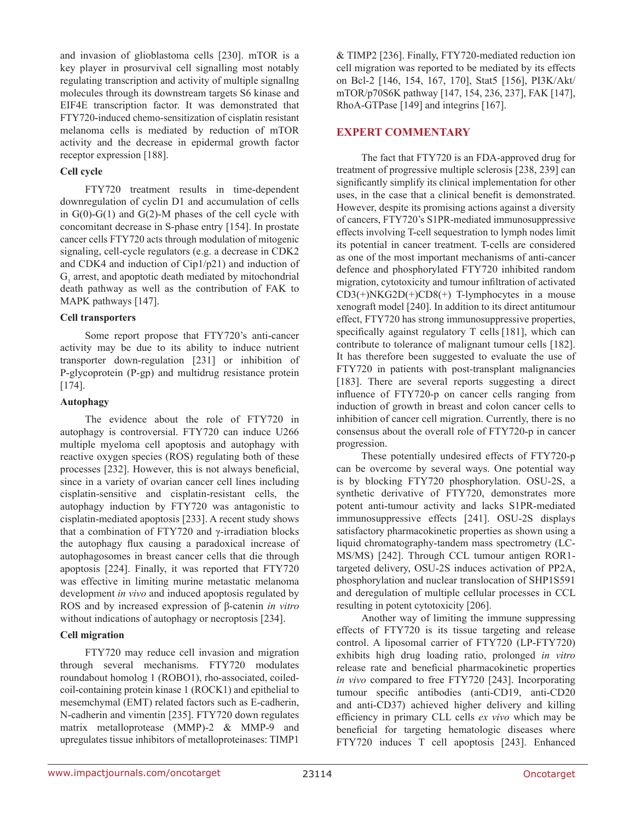and invasion of glioblastoma cells [230]. mTOR is a key player in prosurvival cell signalling most notably regulating transcription and activity of multiple signallng molecules through its downstream targets S6 kinase and EIF4E transcription factor. It was demonstrated that FTY720-induced chemo-sensitization of cisplatin resistant melanoma cells is mediated by reduction of mTOR activity and the decrease in epidermal growth factor receptor expression [188].

## **Cell cycle**

FTY720 treatment results in time-dependent downregulation of cyclin D1 and accumulation of cells in  $G(0)$ - $G(1)$  and  $G(2)$ -M phases of the cell cycle with concomitant decrease in S-phase entry [154]. In prostate cancer cells FTY720 acts through modulation of mitogenic signaling, cell-cycle regulators (e.g. a decrease in CDK2 and CDK4 and induction of Cip1/p21) and induction of  $G<sub>1</sub>$  arrest, and apoptotic death mediated by mitochondrial death pathway as well as the contribution of FAK to MAPK pathways [147].

## **Cell transporters**

Some report propose that FTY720's anti-cancer activity may be due to its ability to induce nutrient transporter down-regulation [231] or inhibition of P-glycoprotein (P-gp) and multidrug resistance protein [174].

## **Autophagy**

The evidence about the role of FTY720 in autophagy is controversial. FTY720 can induce U266 multiple myeloma cell apoptosis and autophagy with reactive oxygen species (ROS) regulating both of these processes [232]. However, this is not always beneficial, since in a variety of ovarian cancer cell lines including cisplatin-sensitive and cisplatin-resistant cells, the autophagy induction by FTY720 was antagonistic to cisplatin-mediated apoptosis [233]. A recent study shows that a combination of FTY720 and γ-irradiation blocks the autophagy flux causing a paradoxical increase of autophagosomes in breast cancer cells that die through apoptosis [224]. Finally, it was reported that FTY720 was effective in limiting murine metastatic melanoma development *in vivo* and induced apoptosis regulated by ROS and by increased expression of β-catenin *in vitro* without indications of autophagy or necroptosis [234].

## **Cell migration**

FTY720 may reduce cell invasion and migration through several mechanisms. FTY720 modulates roundabout homolog 1 (ROBO1), rho-associated, coiledcoil-containing protein kinase 1 (ROCK1) and epithelial to mesemchymal (EMT) related factors such as E-cadherin, N-cadherin and vimentin [235]. FTY720 down regulates matrix metalloprotease (MMP)-2 & MMP-9 and upregulates tissue inhibitors of metalloproteinases: TIMP1

& TIMP2 [236]. Finally, FTY720-mediated reduction ion cell migration was reported to be mediated by its effects on Bcl-2 [146, 154, 167, 170], Stat5 [156], PI3K/Akt/ mTOR/p70S6K pathway [147, 154, 236, 237], FAK [147], RhoA-GTPase [149] and integrins [167].

## **Expert commentary**

The fact that FTY720 is an FDA-approved drug for treatment of progressive multiple sclerosis [238, 239] can significantly simplify its clinical implementation for other uses, in the case that a clinical benefit is demonstrated. However, despite its promising actions against a diversity of cancers, FTY720's S1PR-mediated immunosuppressive effects involving T-cell sequestration to lymph nodes limit its potential in cancer treatment. T-cells are considered as one of the most important mechanisms of anti-cancer defence and phosphorylated FTY720 inhibited random migration, cytotoxicity and tumour infiltration of activated  $CD3(+)NKG2D(+)CD8(+)$  T-lymphocytes in a mouse xenograft model [240]. In addition to its direct antitumour effect, FTY720 has strong immunosuppressive properties, specifically against regulatory T cells [181], which can contribute to tolerance of malignant tumour cells [182]. It has therefore been suggested to evaluate the use of FTY720 in patients with post-transplant malignancies [183]. There are several reports suggesting a direct influence of FTY720-p on cancer cells ranging from induction of growth in breast and colon cancer cells to inhibition of cancer cell migration. Currently, there is no consensus about the overall role of FTY720-p in cancer progression.

These potentially undesired effects of FTY720-p can be overcome by several ways. One potential way is by blocking FTY720 phosphorylation. OSU-2S, a synthetic derivative of FTY720, demonstrates more potent anti-tumour activity and lacks S1PR-mediated immunosuppressive effects [241]. OSU-2S displays satisfactory pharmacokinetic properties as shown using a liquid chromatography-tandem mass spectrometry (LC-MS/MS) [242]. Through CCL tumour antigen ROR1 targeted delivery, OSU-2S induces activation of PP2A, phosphorylation and nuclear translocation of SHP1S591 and deregulation of multiple cellular processes in CCL resulting in potent cytotoxicity [206].

Another way of limiting the immune suppressing effects of FTY720 is its tissue targeting and release control. A liposomal carrier of FTY720 (LP-FTY720) exhibits high drug loading ratio, prolonged *in vitro* release rate and beneficial pharmacokinetic properties *in vivo* compared to free FTY720 [243]. Incorporating tumour specific antibodies (anti-CD19, anti-CD20 and anti-CD37) achieved higher delivery and killing efficiency in primary CLL cells *ex vivo* which may be beneficial for targeting hematologic diseases where FTY720 induces T cell apoptosis [243]. Enhanced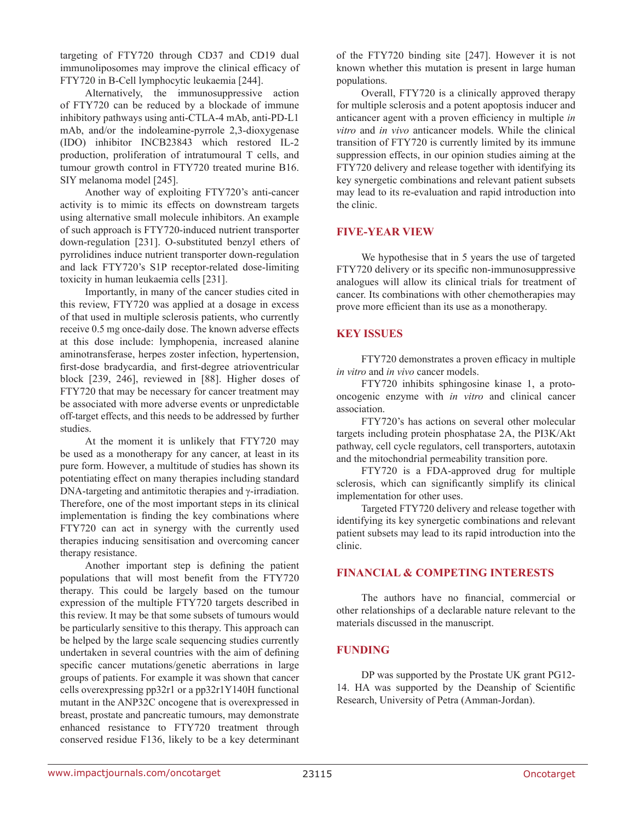targeting of FTY720 through CD37 and CD19 dual immunoliposomes may improve the clinical efficacy of FTY720 in B-Cell lymphocytic leukaemia [244].

Alternatively, the immunosuppressive action of FTY720 can be reduced by a blockade of immune inhibitory pathways using anti-CTLA-4 mAb, anti-PD-L1 mAb, and/or the indoleamine-pyrrole 2,3-dioxygenase (IDO) inhibitor INCB23843 which restored IL-2 production, proliferation of intratumoural T cells, and tumour growth control in FTY720 treated murine B16. SIY melanoma model [245].

Another way of exploiting FTY720's anti-cancer activity is to mimic its effects on downstream targets using alternative small molecule inhibitors. An example of such approach is FTY720-induced nutrient transporter down-regulation [231]. O-substituted benzyl ethers of pyrrolidines induce nutrient transporter down-regulation and lack FTY720's S1P receptor-related dose-limiting toxicity in human leukaemia cells [231].

Importantly, in many of the cancer studies cited in this review, FTY720 was applied at a dosage in excess of that used in multiple sclerosis patients, who currently receive 0.5 mg once-daily dose. The known adverse effects at this dose include: lymphopenia, increased alanine aminotransferase, herpes zoster infection, hypertension, first-dose bradycardia, and first-degree atrioventricular block [239, 246], reviewed in [88]. Higher doses of FTY720 that may be necessary for cancer treatment may be associated with more adverse events or unpredictable off-target effects, and this needs to be addressed by further studies.

At the moment it is unlikely that FTY720 may be used as a monotherapy for any cancer, at least in its pure form. However, a multitude of studies has shown its potentiating effect on many therapies including standard DNA-targeting and antimitotic therapies and γ-irradiation. Therefore, one of the most important steps in its clinical implementation is finding the key combinations where FTY720 can act in synergy with the currently used therapies inducing sensitisation and overcoming cancer therapy resistance.

Another important step is defining the patient populations that will most benefit from the FTY720 therapy. This could be largely based on the tumour expression of the multiple FTY720 targets described in this review. It may be that some subsets of tumours would be particularly sensitive to this therapy. This approach can be helped by the large scale sequencing studies currently undertaken in several countries with the aim of defining specific cancer mutations/genetic aberrations in large groups of patients. For example it was shown that cancer cells overexpressing pp32r1 or a pp32r1Y140H functional mutant in the ANP32C oncogene that is overexpressed in breast, prostate and pancreatic tumours, may demonstrate enhanced resistance to FTY720 treatment through conserved residue F136, likely to be a key determinant

of the FTY720 binding site [247]. However it is not known whether this mutation is present in large human populations.

Overall, FTY720 is a clinically approved therapy for multiple sclerosis and a potent apoptosis inducer and anticancer agent with a proven efficiency in multiple *in vitro* and *in vivo* anticancer models. While the clinical transition of FTY720 is currently limited by its immune suppression effects, in our opinion studies aiming at the FTY720 delivery and release together with identifying its key synergetic combinations and relevant patient subsets may lead to its re-evaluation and rapid introduction into the clinic.

## **Five-year view**

We hypothesise that in 5 years the use of targeted FTY720 delivery or its specific non-immunosuppressive analogues will allow its clinical trials for treatment of cancer. Its combinations with other chemotherapies may prove more efficient than its use as a monotherapy.

## **Key issues**

FTY720 demonstrates a proven efficacy in multiple *in vitro* and *in vivo* cancer models.

FTY720 inhibits sphingosine kinase 1, a protooncogenic enzyme with *in vitro* and clinical cancer association.

FTY720's has actions on several other molecular targets including protein phosphatase 2A, the PI3K/Akt pathway, cell cycle regulators, cell transporters, autotaxin and the mitochondrial permeability transition pore.

FTY720 is a FDA-approved drug for multiple sclerosis, which can significantly simplify its clinical implementation for other uses.

Targeted FTY720 delivery and release together with identifying its key synergetic combinations and relevant patient subsets may lead to its rapid introduction into the clinic.

## **Financial & competing interests**

The authors have no financial, commercial or other relationships of a declarable nature relevant to the materials discussed in the manuscript.

## **Funding**

DP was supported by the Prostate UK grant PG12- 14. HA was supported by the Deanship of Scientific Research, University of Petra (Amman-Jordan).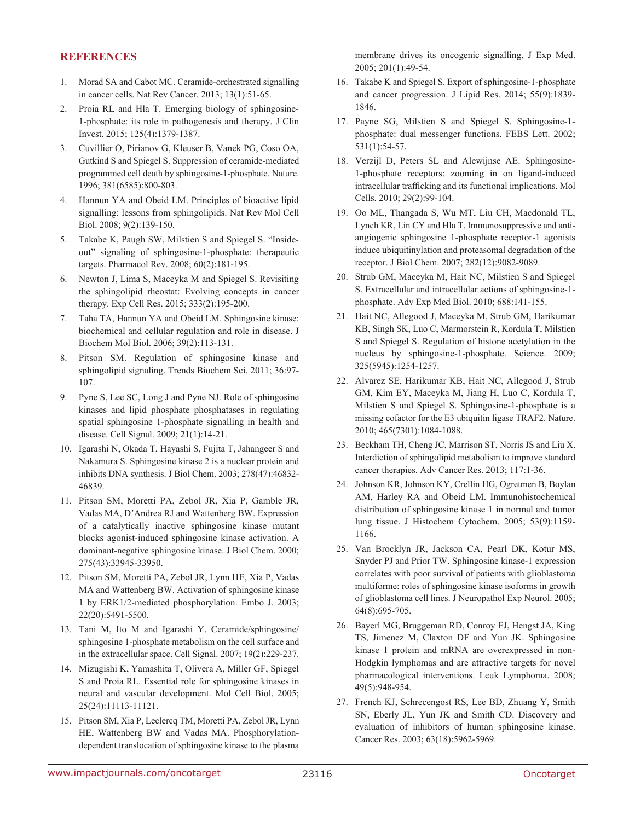## **References**

- 1. Morad SA and Cabot MC. Ceramide-orchestrated signalling in cancer cells. Nat Rev Cancer. 2013; 13(1):51-65.
- 2. Proia RL and Hla T. Emerging biology of sphingosine-1-phosphate: its role in pathogenesis and therapy. J Clin Invest. 2015; 125(4):1379-1387.
- 3. Cuvillier O, Pirianov G, Kleuser B, Vanek PG, Coso OA, Gutkind S and Spiegel S. Suppression of ceramide-mediated programmed cell death by sphingosine-1-phosphate. Nature. 1996; 381(6585):800-803.
- 4. Hannun YA and Obeid LM. Principles of bioactive lipid signalling: lessons from sphingolipids. Nat Rev Mol Cell Biol. 2008; 9(2):139-150.
- 5. Takabe K, Paugh SW, Milstien S and Spiegel S. "Insideout" signaling of sphingosine-1-phosphate: therapeutic targets. Pharmacol Rev. 2008; 60(2):181-195.
- 6. Newton J, Lima S, Maceyka M and Spiegel S. Revisiting the sphingolipid rheostat: Evolving concepts in cancer therapy. Exp Cell Res. 2015; 333(2):195-200.
- 7. Taha TA, Hannun YA and Obeid LM. Sphingosine kinase: biochemical and cellular regulation and role in disease. J Biochem Mol Biol. 2006; 39(2):113-131.
- 8. Pitson SM. Regulation of sphingosine kinase and sphingolipid signaling. Trends Biochem Sci. 2011; 36:97- 107.
- 9. Pyne S, Lee SC, Long J and Pyne NJ. Role of sphingosine kinases and lipid phosphate phosphatases in regulating spatial sphingosine 1-phosphate signalling in health and disease. Cell Signal. 2009; 21(1):14-21.
- 10. Igarashi N, Okada T, Hayashi S, Fujita T, Jahangeer S and Nakamura S. Sphingosine kinase 2 is a nuclear protein and inhibits DNA synthesis. J Biol Chem. 2003; 278(47):46832- 46839.
- 11. Pitson SM, Moretti PA, Zebol JR, Xia P, Gamble JR, Vadas MA, D'Andrea RJ and Wattenberg BW. Expression of a catalytically inactive sphingosine kinase mutant blocks agonist-induced sphingosine kinase activation. A dominant-negative sphingosine kinase. J Biol Chem. 2000; 275(43):33945-33950.
- 12. Pitson SM, Moretti PA, Zebol JR, Lynn HE, Xia P, Vadas MA and Wattenberg BW. Activation of sphingosine kinase 1 by ERK1/2-mediated phosphorylation. Embo J. 2003; 22(20):5491-5500.
- 13. Tani M, Ito M and Igarashi Y. Ceramide/sphingosine/ sphingosine 1-phosphate metabolism on the cell surface and in the extracellular space. Cell Signal. 2007; 19(2):229-237.
- 14. Mizugishi K, Yamashita T, Olivera A, Miller GF, Spiegel S and Proia RL. Essential role for sphingosine kinases in neural and vascular development. Mol Cell Biol. 2005; 25(24):11113-11121.
- 15. Pitson SM, Xia P, Leclercq TM, Moretti PA, Zebol JR, Lynn HE, Wattenberg BW and Vadas MA. Phosphorylationdependent translocation of sphingosine kinase to the plasma

membrane drives its oncogenic signalling. J Exp Med. 2005; 201(1):49-54.

- 16. Takabe K and Spiegel S. Export of sphingosine-1-phosphate and cancer progression. J Lipid Res. 2014; 55(9):1839- 1846.
- 17. Payne SG, Milstien S and Spiegel S. Sphingosine-1 phosphate: dual messenger functions. FEBS Lett. 2002; 531(1):54-57.
- 18. Verzijl D, Peters SL and Alewijnse AE. Sphingosine-1-phosphate receptors: zooming in on ligand-induced intracellular trafficking and its functional implications. Mol Cells. 2010; 29(2):99-104.
- 19. Oo ML, Thangada S, Wu MT, Liu CH, Macdonald TL, Lynch KR, Lin CY and Hla T. Immunosuppressive and antiangiogenic sphingosine 1-phosphate receptor-1 agonists induce ubiquitinylation and proteasomal degradation of the receptor. J Biol Chem. 2007; 282(12):9082-9089.
- 20. Strub GM, Maceyka M, Hait NC, Milstien S and Spiegel S. Extracellular and intracellular actions of sphingosine-1 phosphate. Adv Exp Med Biol. 2010; 688:141-155.
- 21. Hait NC, Allegood J, Maceyka M, Strub GM, Harikumar KB, Singh SK, Luo C, Marmorstein R, Kordula T, Milstien S and Spiegel S. Regulation of histone acetylation in the nucleus by sphingosine-1-phosphate. Science. 2009; 325(5945):1254-1257.
- 22. Alvarez SE, Harikumar KB, Hait NC, Allegood J, Strub GM, Kim EY, Maceyka M, Jiang H, Luo C, Kordula T, Milstien S and Spiegel S. Sphingosine-1-phosphate is a missing cofactor for the E3 ubiquitin ligase TRAF2. Nature. 2010; 465(7301):1084-1088.
- 23. Beckham TH, Cheng JC, Marrison ST, Norris JS and Liu X. Interdiction of sphingolipid metabolism to improve standard cancer therapies. Adv Cancer Res. 2013; 117:1-36.
- 24. Johnson KR, Johnson KY, Crellin HG, Ogretmen B, Boylan AM, Harley RA and Obeid LM. Immunohistochemical distribution of sphingosine kinase 1 in normal and tumor lung tissue. J Histochem Cytochem. 2005; 53(9):1159- 1166.
- 25. Van Brocklyn JR, Jackson CA, Pearl DK, Kotur MS, Snyder PJ and Prior TW. Sphingosine kinase-1 expression correlates with poor survival of patients with glioblastoma multiforme: roles of sphingosine kinase isoforms in growth of glioblastoma cell lines. J Neuropathol Exp Neurol. 2005; 64(8):695-705.
- 26. Bayerl MG, Bruggeman RD, Conroy EJ, Hengst JA, King TS, Jimenez M, Claxton DF and Yun JK. Sphingosine kinase 1 protein and mRNA are overexpressed in non-Hodgkin lymphomas and are attractive targets for novel pharmacological interventions. Leuk Lymphoma. 2008; 49(5):948-954.
- 27. French KJ, Schrecengost RS, Lee BD, Zhuang Y, Smith SN, Eberly JL, Yun JK and Smith CD. Discovery and evaluation of inhibitors of human sphingosine kinase. Cancer Res. 2003; 63(18):5962-5969.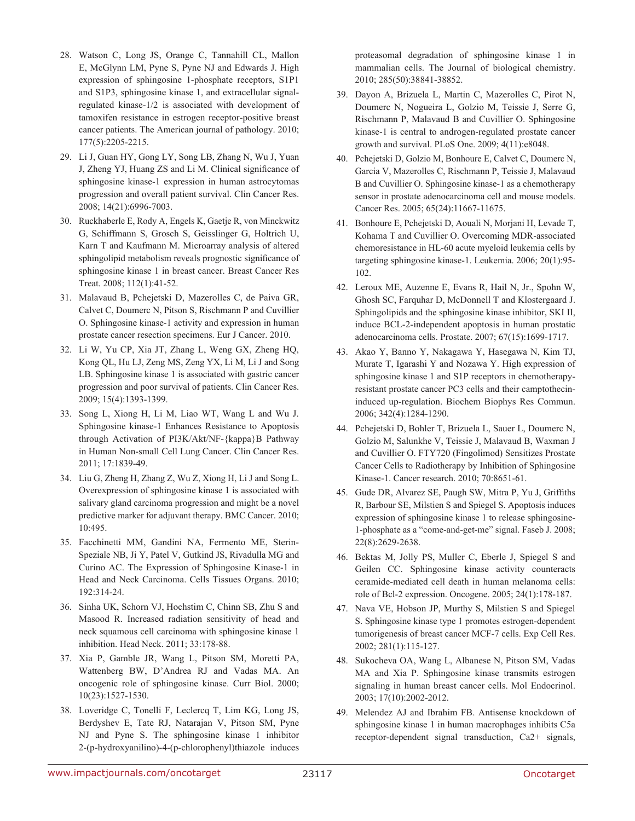- 28. Watson C, Long JS, Orange C, Tannahill CL, Mallon E, McGlynn LM, Pyne S, Pyne NJ and Edwards J. High expression of sphingosine 1-phosphate receptors, S1P1 and S1P3, sphingosine kinase 1, and extracellular signalregulated kinase-1/2 is associated with development of tamoxifen resistance in estrogen receptor-positive breast cancer patients. The American journal of pathology. 2010; 177(5):2205-2215.
- 29. Li J, Guan HY, Gong LY, Song LB, Zhang N, Wu J, Yuan J, Zheng YJ, Huang ZS and Li M. Clinical significance of sphingosine kinase-1 expression in human astrocytomas progression and overall patient survival. Clin Cancer Res. 2008; 14(21):6996-7003.
- 30. Ruckhaberle E, Rody A, Engels K, Gaetje R, von Minckwitz G, Schiffmann S, Grosch S, Geisslinger G, Holtrich U, Karn T and Kaufmann M. Microarray analysis of altered sphingolipid metabolism reveals prognostic significance of sphingosine kinase 1 in breast cancer. Breast Cancer Res Treat. 2008; 112(1):41-52.
- 31. Malavaud B, Pchejetski D, Mazerolles C, de Paiva GR, Calvet C, Doumerc N, Pitson S, Rischmann P and Cuvillier O. Sphingosine kinase-1 activity and expression in human prostate cancer resection specimens. Eur J Cancer. 2010.
- 32. Li W, Yu CP, Xia JT, Zhang L, Weng GX, Zheng HQ, Kong QL, Hu LJ, Zeng MS, Zeng YX, Li M, Li J and Song LB. Sphingosine kinase 1 is associated with gastric cancer progression and poor survival of patients. Clin Cancer Res. 2009; 15(4):1393-1399.
- 33. Song L, Xiong H, Li M, Liao WT, Wang L and Wu J. Sphingosine kinase-1 Enhances Resistance to Apoptosis through Activation of PI3K/Akt/NF-{kappa}B Pathway in Human Non-small Cell Lung Cancer. Clin Cancer Res. 2011; 17:1839-49.
- 34. Liu G, Zheng H, Zhang Z, Wu Z, Xiong H, Li J and Song L. Overexpression of sphingosine kinase 1 is associated with salivary gland carcinoma progression and might be a novel predictive marker for adjuvant therapy. BMC Cancer. 2010; 10:495.
- 35. Facchinetti MM, Gandini NA, Fermento ME, Sterin-Speziale NB, Ji Y, Patel V, Gutkind JS, Rivadulla MG and Curino AC. The Expression of Sphingosine Kinase-1 in Head and Neck Carcinoma. Cells Tissues Organs. 2010; 192:314-24.
- 36. Sinha UK, Schorn VJ, Hochstim C, Chinn SB, Zhu S and Masood R. Increased radiation sensitivity of head and neck squamous cell carcinoma with sphingosine kinase 1 inhibition. Head Neck. 2011; 33:178-88.
- 37. Xia P, Gamble JR, Wang L, Pitson SM, Moretti PA, Wattenberg BW, D'Andrea RJ and Vadas MA. An oncogenic role of sphingosine kinase. Curr Biol. 2000; 10(23):1527-1530.
- 38. Loveridge C, Tonelli F, Leclercq T, Lim KG, Long JS, Berdyshev E, Tate RJ, Natarajan V, Pitson SM, Pyne NJ and Pyne S. The sphingosine kinase 1 inhibitor 2-(p-hydroxyanilino)-4-(p-chlorophenyl)thiazole induces

proteasomal degradation of sphingosine kinase 1 in mammalian cells. The Journal of biological chemistry. 2010; 285(50):38841-38852.

- 39. Dayon A, Brizuela L, Martin C, Mazerolles C, Pirot N, Doumerc N, Nogueira L, Golzio M, Teissie J, Serre G, Rischmann P, Malavaud B and Cuvillier O. Sphingosine kinase-1 is central to androgen-regulated prostate cancer growth and survival. PLoS One. 2009; 4(11):e8048.
- 40. Pchejetski D, Golzio M, Bonhoure E, Calvet C, Doumerc N, Garcia V, Mazerolles C, Rischmann P, Teissie J, Malavaud B and Cuvillier O. Sphingosine kinase-1 as a chemotherapy sensor in prostate adenocarcinoma cell and mouse models. Cancer Res. 2005; 65(24):11667-11675.
- 41. Bonhoure E, Pchejetski D, Aouali N, Morjani H, Levade T, Kohama T and Cuvillier O. Overcoming MDR-associated chemoresistance in HL-60 acute myeloid leukemia cells by targeting sphingosine kinase-1. Leukemia. 2006; 20(1):95- 102.
- 42. Leroux ME, Auzenne E, Evans R, Hail N, Jr., Spohn W, Ghosh SC, Farquhar D, McDonnell T and Klostergaard J. Sphingolipids and the sphingosine kinase inhibitor, SKI II, induce BCL-2-independent apoptosis in human prostatic adenocarcinoma cells. Prostate. 2007; 67(15):1699-1717.
- 43. Akao Y, Banno Y, Nakagawa Y, Hasegawa N, Kim TJ, Murate T, Igarashi Y and Nozawa Y. High expression of sphingosine kinase 1 and S1P receptors in chemotherapyresistant prostate cancer PC3 cells and their camptothecininduced up-regulation. Biochem Biophys Res Commun. 2006; 342(4):1284-1290.
- 44. Pchejetski D, Bohler T, Brizuela L, Sauer L, Doumerc N, Golzio M, Salunkhe V, Teissie J, Malavaud B, Waxman J and Cuvillier O. FTY720 (Fingolimod) Sensitizes Prostate Cancer Cells to Radiotherapy by Inhibition of Sphingosine Kinase-1. Cancer research. 2010; 70:8651-61.
- 45. Gude DR, Alvarez SE, Paugh SW, Mitra P, Yu J, Griffiths R, Barbour SE, Milstien S and Spiegel S. Apoptosis induces expression of sphingosine kinase 1 to release sphingosine-1-phosphate as a "come-and-get-me" signal. Faseb J. 2008; 22(8):2629-2638.
- 46. Bektas M, Jolly PS, Muller C, Eberle J, Spiegel S and Geilen CC. Sphingosine kinase activity counteracts ceramide-mediated cell death in human melanoma cells: role of Bcl-2 expression. Oncogene. 2005; 24(1):178-187.
- 47. Nava VE, Hobson JP, Murthy S, Milstien S and Spiegel S. Sphingosine kinase type 1 promotes estrogen-dependent tumorigenesis of breast cancer MCF-7 cells. Exp Cell Res. 2002; 281(1):115-127.
- 48. Sukocheva OA, Wang L, Albanese N, Pitson SM, Vadas MA and Xia P. Sphingosine kinase transmits estrogen signaling in human breast cancer cells. Mol Endocrinol. 2003; 17(10):2002-2012.
- 49. Melendez AJ and Ibrahim FB. Antisense knockdown of sphingosine kinase 1 in human macrophages inhibits C5a receptor-dependent signal transduction, Ca2+ signals,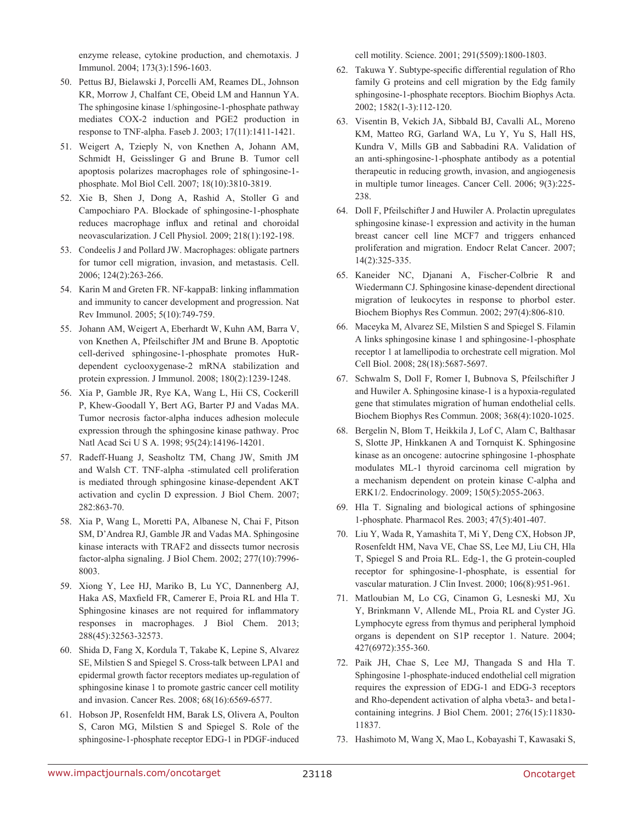enzyme release, cytokine production, and chemotaxis. J Immunol. 2004; 173(3):1596-1603.

- 50. Pettus BJ, Bielawski J, Porcelli AM, Reames DL, Johnson KR, Morrow J, Chalfant CE, Obeid LM and Hannun YA. The sphingosine kinase 1/sphingosine-1-phosphate pathway mediates COX-2 induction and PGE2 production in response to TNF-alpha. Faseb J. 2003; 17(11):1411-1421.
- 51. Weigert A, Tzieply N, von Knethen A, Johann AM, Schmidt H, Geisslinger G and Brune B. Tumor cell apoptosis polarizes macrophages role of sphingosine-1 phosphate. Mol Biol Cell. 2007; 18(10):3810-3819.
- 52. Xie B, Shen J, Dong A, Rashid A, Stoller G and Campochiaro PA. Blockade of sphingosine-1-phosphate reduces macrophage influx and retinal and choroidal neovascularization. J Cell Physiol. 2009; 218(1):192-198.
- 53. Condeelis J and Pollard JW. Macrophages: obligate partners for tumor cell migration, invasion, and metastasis. Cell. 2006; 124(2):263-266.
- 54. Karin M and Greten FR. NF-kappaB: linking inflammation and immunity to cancer development and progression. Nat Rev Immunol. 2005; 5(10):749-759.
- 55. Johann AM, Weigert A, Eberhardt W, Kuhn AM, Barra V, von Knethen A, Pfeilschifter JM and Brune B. Apoptotic cell-derived sphingosine-1-phosphate promotes HuRdependent cyclooxygenase-2 mRNA stabilization and protein expression. J Immunol. 2008; 180(2):1239-1248.
- 56. Xia P, Gamble JR, Rye KA, Wang L, Hii CS, Cockerill P, Khew-Goodall Y, Bert AG, Barter PJ and Vadas MA. Tumor necrosis factor-alpha induces adhesion molecule expression through the sphingosine kinase pathway. Proc Natl Acad Sci U S A. 1998; 95(24):14196-14201.
- 57. Radeff-Huang J, Seasholtz TM, Chang JW, Smith JM and Walsh CT. TNF-alpha -stimulated cell proliferation is mediated through sphingosine kinase-dependent AKT activation and cyclin D expression. J Biol Chem. 2007; 282:863-70.
- 58. Xia P, Wang L, Moretti PA, Albanese N, Chai F, Pitson SM, D'Andrea RJ, Gamble JR and Vadas MA. Sphingosine kinase interacts with TRAF2 and dissects tumor necrosis factor-alpha signaling. J Biol Chem. 2002; 277(10):7996- 8003.
- 59. Xiong Y, Lee HJ, Mariko B, Lu YC, Dannenberg AJ, Haka AS, Maxfield FR, Camerer E, Proia RL and Hla T. Sphingosine kinases are not required for inflammatory responses in macrophages. J Biol Chem. 2013; 288(45):32563-32573.
- 60. Shida D, Fang X, Kordula T, Takabe K, Lepine S, Alvarez SE, Milstien S and Spiegel S. Cross-talk between LPA1 and epidermal growth factor receptors mediates up-regulation of sphingosine kinase 1 to promote gastric cancer cell motility and invasion. Cancer Res. 2008; 68(16):6569-6577.
- 61. Hobson JP, Rosenfeldt HM, Barak LS, Olivera A, Poulton S, Caron MG, Milstien S and Spiegel S. Role of the sphingosine-1-phosphate receptor EDG-1 in PDGF-induced

cell motility. Science. 2001; 291(5509):1800-1803.

- 62. Takuwa Y. Subtype-specific differential regulation of Rho family G proteins and cell migration by the Edg family sphingosine-1-phosphate receptors. Biochim Biophys Acta. 2002; 1582(1-3):112-120.
- 63. Visentin B, Vekich JA, Sibbald BJ, Cavalli AL, Moreno KM, Matteo RG, Garland WA, Lu Y, Yu S, Hall HS, Kundra V, Mills GB and Sabbadini RA. Validation of an anti-sphingosine-1-phosphate antibody as a potential therapeutic in reducing growth, invasion, and angiogenesis in multiple tumor lineages. Cancer Cell. 2006; 9(3):225- 238.
- 64. Doll F, Pfeilschifter J and Huwiler A. Prolactin upregulates sphingosine kinase-1 expression and activity in the human breast cancer cell line MCF7 and triggers enhanced proliferation and migration. Endocr Relat Cancer. 2007; 14(2):325-335.
- 65. Kaneider NC, Djanani A, Fischer-Colbrie R and Wiedermann CJ. Sphingosine kinase-dependent directional migration of leukocytes in response to phorbol ester. Biochem Biophys Res Commun. 2002; 297(4):806-810.
- 66. Maceyka M, Alvarez SE, Milstien S and Spiegel S. Filamin A links sphingosine kinase 1 and sphingosine-1-phosphate receptor 1 at lamellipodia to orchestrate cell migration. Mol Cell Biol. 2008; 28(18):5687-5697.
- 67. Schwalm S, Doll F, Romer I, Bubnova S, Pfeilschifter J and Huwiler A. Sphingosine kinase-1 is a hypoxia-regulated gene that stimulates migration of human endothelial cells. Biochem Biophys Res Commun. 2008; 368(4):1020-1025.
- 68. Bergelin N, Blom T, Heikkila J, Lof C, Alam C, Balthasar S, Slotte JP, Hinkkanen A and Tornquist K. Sphingosine kinase as an oncogene: autocrine sphingosine 1-phosphate modulates ML-1 thyroid carcinoma cell migration by a mechanism dependent on protein kinase C-alpha and ERK1/2. Endocrinology. 2009; 150(5):2055-2063.
- 69. Hla T. Signaling and biological actions of sphingosine 1-phosphate. Pharmacol Res. 2003; 47(5):401-407.
- 70. Liu Y, Wada R, Yamashita T, Mi Y, Deng CX, Hobson JP, Rosenfeldt HM, Nava VE, Chae SS, Lee MJ, Liu CH, Hla T, Spiegel S and Proia RL. Edg-1, the G protein-coupled receptor for sphingosine-1-phosphate, is essential for vascular maturation. J Clin Invest. 2000; 106(8):951-961.
- 71. Matloubian M, Lo CG, Cinamon G, Lesneski MJ, Xu Y, Brinkmann V, Allende ML, Proia RL and Cyster JG. Lymphocyte egress from thymus and peripheral lymphoid organs is dependent on S1P receptor 1. Nature. 2004; 427(6972):355-360.
- 72. Paik JH, Chae S, Lee MJ, Thangada S and Hla T. Sphingosine 1-phosphate-induced endothelial cell migration requires the expression of EDG-1 and EDG-3 receptors and Rho-dependent activation of alpha vbeta3- and beta1 containing integrins. J Biol Chem. 2001; 276(15):11830- 11837.
- 73. Hashimoto M, Wang X, Mao L, Kobayashi T, Kawasaki S,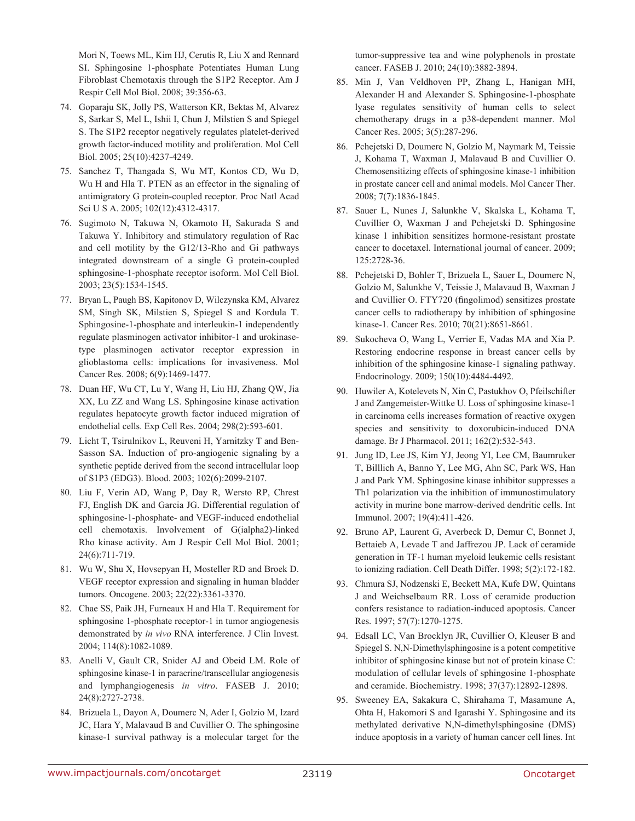Mori N, Toews ML, Kim HJ, Cerutis R, Liu X and Rennard SI. Sphingosine 1-phosphate Potentiates Human Lung Fibroblast Chemotaxis through the S1P2 Receptor. Am J Respir Cell Mol Biol. 2008; 39:356-63.

- 74. Goparaju SK, Jolly PS, Watterson KR, Bektas M, Alvarez S, Sarkar S, Mel L, Ishii I, Chun J, Milstien S and Spiegel S. The S1P2 receptor negatively regulates platelet-derived growth factor-induced motility and proliferation. Mol Cell Biol. 2005; 25(10):4237-4249.
- 75. Sanchez T, Thangada S, Wu MT, Kontos CD, Wu D, Wu H and Hla T. PTEN as an effector in the signaling of antimigratory G protein-coupled receptor. Proc Natl Acad Sci U S A. 2005; 102(12):4312-4317.
- 76. Sugimoto N, Takuwa N, Okamoto H, Sakurada S and Takuwa Y. Inhibitory and stimulatory regulation of Rac and cell motility by the G12/13-Rho and Gi pathways integrated downstream of a single G protein-coupled sphingosine-1-phosphate receptor isoform. Mol Cell Biol. 2003; 23(5):1534-1545.
- 77. Bryan L, Paugh BS, Kapitonov D, Wilczynska KM, Alvarez SM, Singh SK, Milstien S, Spiegel S and Kordula T. Sphingosine-1-phosphate and interleukin-1 independently regulate plasminogen activator inhibitor-1 and urokinasetype plasminogen activator receptor expression in glioblastoma cells: implications for invasiveness. Mol Cancer Res. 2008; 6(9):1469-1477.
- 78. Duan HF, Wu CT, Lu Y, Wang H, Liu HJ, Zhang QW, Jia XX, Lu ZZ and Wang LS. Sphingosine kinase activation regulates hepatocyte growth factor induced migration of endothelial cells. Exp Cell Res. 2004; 298(2):593-601.
- 79. Licht T, Tsirulnikov L, Reuveni H, Yarnitzky T and Ben-Sasson SA. Induction of pro-angiogenic signaling by a synthetic peptide derived from the second intracellular loop of S1P3 (EDG3). Blood. 2003; 102(6):2099-2107.
- 80. Liu F, Verin AD, Wang P, Day R, Wersto RP, Chrest FJ, English DK and Garcia JG. Differential regulation of sphingosine-1-phosphate- and VEGF-induced endothelial cell chemotaxis. Involvement of G(ialpha2)-linked Rho kinase activity. Am J Respir Cell Mol Biol. 2001; 24(6):711-719.
- 81. Wu W, Shu X, Hovsepyan H, Mosteller RD and Broek D. VEGF receptor expression and signaling in human bladder tumors. Oncogene. 2003; 22(22):3361-3370.
- 82. Chae SS, Paik JH, Furneaux H and Hla T. Requirement for sphingosine 1-phosphate receptor-1 in tumor angiogenesis demonstrated by *in vivo* RNA interference. J Clin Invest. 2004; 114(8):1082-1089.
- 83. Anelli V, Gault CR, Snider AJ and Obeid LM. Role of sphingosine kinase-1 in paracrine/transcellular angiogenesis and lymphangiogenesis *in vitro*. FASEB J. 2010; 24(8):2727-2738.
- 84. Brizuela L, Dayon A, Doumerc N, Ader I, Golzio M, Izard JC, Hara Y, Malavaud B and Cuvillier O. The sphingosine kinase-1 survival pathway is a molecular target for the

tumor-suppressive tea and wine polyphenols in prostate cancer. FASEB J. 2010; 24(10):3882-3894.

- 85. Min J, Van Veldhoven PP, Zhang L, Hanigan MH, Alexander H and Alexander S. Sphingosine-1-phosphate lyase regulates sensitivity of human cells to select chemotherapy drugs in a p38-dependent manner. Mol Cancer Res. 2005; 3(5):287-296.
- 86. Pchejetski D, Doumerc N, Golzio M, Naymark M, Teissie J, Kohama T, Waxman J, Malavaud B and Cuvillier O. Chemosensitizing effects of sphingosine kinase-1 inhibition in prostate cancer cell and animal models. Mol Cancer Ther. 2008; 7(7):1836-1845.
- 87. Sauer L, Nunes J, Salunkhe V, Skalska L, Kohama T, Cuvillier O, Waxman J and Pchejetski D. Sphingosine kinase 1 inhibition sensitizes hormone-resistant prostate cancer to docetaxel. International journal of cancer. 2009; 125:2728-36.
- 88. Pchejetski D, Bohler T, Brizuela L, Sauer L, Doumerc N, Golzio M, Salunkhe V, Teissie J, Malavaud B, Waxman J and Cuvillier O. FTY720 (fingolimod) sensitizes prostate cancer cells to radiotherapy by inhibition of sphingosine kinase-1. Cancer Res. 2010; 70(21):8651-8661.
- 89. Sukocheva O, Wang L, Verrier E, Vadas MA and Xia P. Restoring endocrine response in breast cancer cells by inhibition of the sphingosine kinase-1 signaling pathway. Endocrinology. 2009; 150(10):4484-4492.
- 90. Huwiler A, Kotelevets N, Xin C, Pastukhov O, Pfeilschifter J and Zangemeister-Wittke U. Loss of sphingosine kinase-1 in carcinoma cells increases formation of reactive oxygen species and sensitivity to doxorubicin-induced DNA damage. Br J Pharmacol. 2011; 162(2):532-543.
- 91. Jung ID, Lee JS, Kim YJ, Jeong YI, Lee CM, Baumruker T, Billlich A, Banno Y, Lee MG, Ahn SC, Park WS, Han J and Park YM. Sphingosine kinase inhibitor suppresses a Th1 polarization via the inhibition of immunostimulatory activity in murine bone marrow-derived dendritic cells. Int Immunol. 2007; 19(4):411-426.
- 92. Bruno AP, Laurent G, Averbeck D, Demur C, Bonnet J, Bettaieb A, Levade T and Jaffrezou JP. Lack of ceramide generation in TF-1 human myeloid leukemic cells resistant to ionizing radiation. Cell Death Differ. 1998; 5(2):172-182.
- 93. Chmura SJ, Nodzenski E, Beckett MA, Kufe DW, Quintans J and Weichselbaum RR. Loss of ceramide production confers resistance to radiation-induced apoptosis. Cancer Res. 1997; 57(7):1270-1275.
- 94. Edsall LC, Van Brocklyn JR, Cuvillier O, Kleuser B and Spiegel S. N,N-Dimethylsphingosine is a potent competitive inhibitor of sphingosine kinase but not of protein kinase C: modulation of cellular levels of sphingosine 1-phosphate and ceramide. Biochemistry. 1998; 37(37):12892-12898.
- 95. Sweeney EA, Sakakura C, Shirahama T, Masamune A, Ohta H, Hakomori S and Igarashi Y. Sphingosine and its methylated derivative N,N-dimethylsphingosine (DMS) induce apoptosis in a variety of human cancer cell lines. Int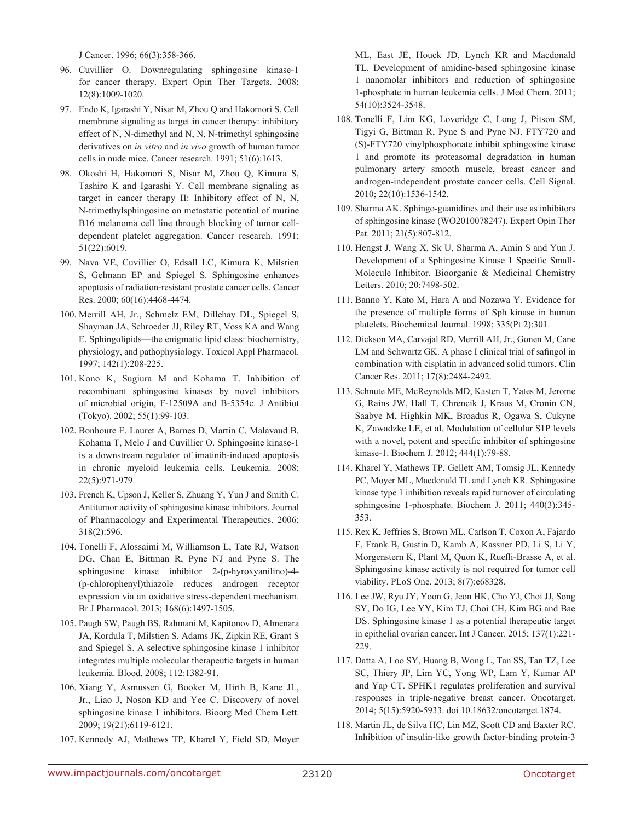J Cancer. 1996; 66(3):358-366.

- 96. Cuvillier O. Downregulating sphingosine kinase-1 for cancer therapy. Expert Opin Ther Targets. 2008; 12(8):1009-1020.
- 97. Endo K, Igarashi Y, Nisar M, Zhou Q and Hakomori S. Cell membrane signaling as target in cancer therapy: inhibitory effect of N, N-dimethyl and N, N, N-trimethyl sphingosine derivatives on *in vitro* and *in vivo* growth of human tumor cells in nude mice. Cancer research. 1991; 51(6):1613.
- 98. Okoshi H, Hakomori S, Nisar M, Zhou Q, Kimura S, Tashiro K and Igarashi Y. Cell membrane signaling as target in cancer therapy II: Inhibitory effect of N, N, N-trimethylsphingosine on metastatic potential of murine B16 melanoma cell line through blocking of tumor celldependent platelet aggregation. Cancer research. 1991; 51(22):6019.
- 99. Nava VE, Cuvillier O, Edsall LC, Kimura K, Milstien S, Gelmann EP and Spiegel S. Sphingosine enhances apoptosis of radiation-resistant prostate cancer cells. Cancer Res. 2000; 60(16):4468-4474.
- 100. Merrill AH, Jr., Schmelz EM, Dillehay DL, Spiegel S, Shayman JA, Schroeder JJ, Riley RT, Voss KA and Wang E. Sphingolipids—the enigmatic lipid class: biochemistry, physiology, and pathophysiology. Toxicol Appl Pharmacol. 1997; 142(1):208-225.
- 101. Kono K, Sugiura M and Kohama T. Inhibition of recombinant sphingosine kinases by novel inhibitors of microbial origin, F-12509A and B-5354c. J Antibiot (Tokyo). 2002; 55(1):99-103.
- 102. Bonhoure E, Lauret A, Barnes D, Martin C, Malavaud B, Kohama T, Melo J and Cuvillier O. Sphingosine kinase-1 is a downstream regulator of imatinib-induced apoptosis in chronic myeloid leukemia cells. Leukemia. 2008; 22(5):971-979.
- 103. French K, Upson J, Keller S, Zhuang Y, Yun J and Smith C. Antitumor activity of sphingosine kinase inhibitors. Journal of Pharmacology and Experimental Therapeutics. 2006; 318(2):596.
- 104. Tonelli F, Alossaimi M, Williamson L, Tate RJ, Watson DG, Chan E, Bittman R, Pyne NJ and Pyne S. The sphingosine kinase inhibitor 2-(p-hyroxyanilino)-4- (p-chlorophenyl)thiazole reduces androgen receptor expression via an oxidative stress-dependent mechanism. Br J Pharmacol. 2013; 168(6):1497-1505.
- 105. Paugh SW, Paugh BS, Rahmani M, Kapitonov D, Almenara JA, Kordula T, Milstien S, Adams JK, Zipkin RE, Grant S and Spiegel S. A selective sphingosine kinase 1 inhibitor integrates multiple molecular therapeutic targets in human leukemia. Blood. 2008; 112:1382-91.
- 106. Xiang Y, Asmussen G, Booker M, Hirth B, Kane JL, Jr., Liao J, Noson KD and Yee C. Discovery of novel sphingosine kinase 1 inhibitors. Bioorg Med Chem Lett. 2009; 19(21):6119-6121.
- 107. Kennedy AJ, Mathews TP, Kharel Y, Field SD, Moyer

ML, East JE, Houck JD, Lynch KR and Macdonald TL. Development of amidine-based sphingosine kinase 1 nanomolar inhibitors and reduction of sphingosine 1-phosphate in human leukemia cells. J Med Chem. 2011; 54(10):3524-3548.

- 108. Tonelli F, Lim KG, Loveridge C, Long J, Pitson SM, Tigyi G, Bittman R, Pyne S and Pyne NJ. FTY720 and (S)-FTY720 vinylphosphonate inhibit sphingosine kinase 1 and promote its proteasomal degradation in human pulmonary artery smooth muscle, breast cancer and androgen-independent prostate cancer cells. Cell Signal. 2010; 22(10):1536-1542.
- 109. Sharma AK. Sphingo-guanidines and their use as inhibitors of sphingosine kinase (WO2010078247). Expert Opin Ther Pat. 2011; 21(5):807-812.
- 110. Hengst J, Wang X, Sk U, Sharma A, Amin S and Yun J. Development of a Sphingosine Kinase 1 Specific Small-Molecule Inhibitor. Bioorganic & Medicinal Chemistry Letters. 2010; 20:7498-502.
- 111. Banno Y, Kato M, Hara A and Nozawa Y. Evidence for the presence of multiple forms of Sph kinase in human platelets. Biochemical Journal. 1998; 335(Pt 2):301.
- 112. Dickson MA, Carvajal RD, Merrill AH, Jr., Gonen M, Cane LM and Schwartz GK. A phase I clinical trial of safingol in combination with cisplatin in advanced solid tumors. Clin Cancer Res. 2011; 17(8):2484-2492.
- 113. Schnute ME, McReynolds MD, Kasten T, Yates M, Jerome G, Rains JW, Hall T, Chrencik J, Kraus M, Cronin CN, Saabye M, Highkin MK, Broadus R, Ogawa S, Cukyne K, Zawadzke LE, et al. Modulation of cellular S1P levels with a novel, potent and specific inhibitor of sphingosine kinase-1. Biochem J. 2012; 444(1):79-88.
- 114. Kharel Y, Mathews TP, Gellett AM, Tomsig JL, Kennedy PC, Moyer ML, Macdonald TL and Lynch KR. Sphingosine kinase type 1 inhibition reveals rapid turnover of circulating sphingosine 1-phosphate. Biochem J. 2011; 440(3):345- 353.
- 115. Rex K, Jeffries S, Brown ML, Carlson T, Coxon A, Fajardo F, Frank B, Gustin D, Kamb A, Kassner PD, Li S, Li Y, Morgenstern K, Plant M, Quon K, Ruefli-Brasse A, et al. Sphingosine kinase activity is not required for tumor cell viability. PLoS One. 2013; 8(7):e68328.
- 116. Lee JW, Ryu JY, Yoon G, Jeon HK, Cho YJ, Choi JJ, Song SY, Do IG, Lee YY, Kim TJ, Choi CH, Kim BG and Bae DS. Sphingosine kinase 1 as a potential therapeutic target in epithelial ovarian cancer. Int J Cancer. 2015; 137(1):221- 229.
- 117. Datta A, Loo SY, Huang B, Wong L, Tan SS, Tan TZ, Lee SC, Thiery JP, Lim YC, Yong WP, Lam Y, Kumar AP and Yap CT. SPHK1 regulates proliferation and survival responses in triple-negative breast cancer. Oncotarget. 2014; 5(15):5920-5933. doi 10.18632/oncotarget.1874.
- 118. Martin JL, de Silva HC, Lin MZ, Scott CD and Baxter RC. Inhibition of insulin-like growth factor-binding protein-3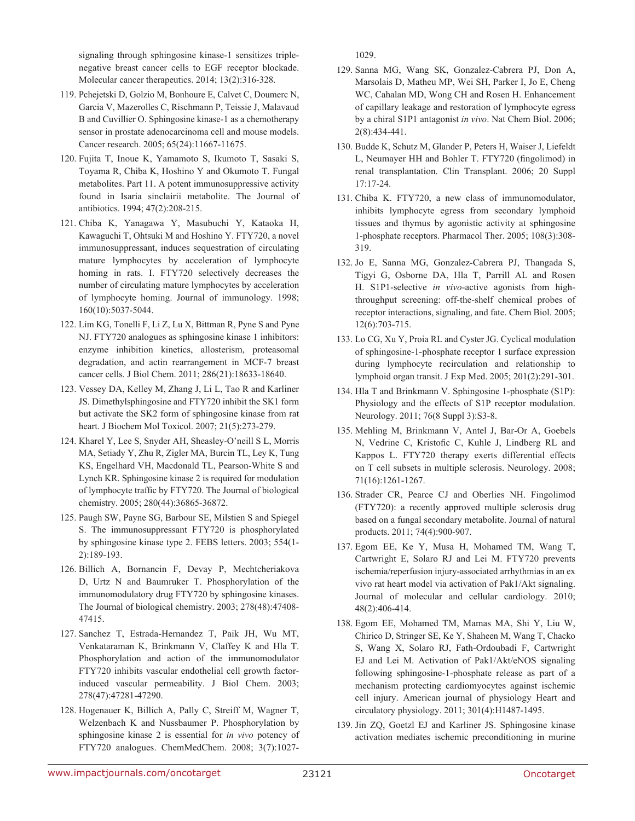signaling through sphingosine kinase-1 sensitizes triplenegative breast cancer cells to EGF receptor blockade. Molecular cancer therapeutics. 2014; 13(2):316-328.

- 119. Pchejetski D, Golzio M, Bonhoure E, Calvet C, Doumerc N, Garcia V, Mazerolles C, Rischmann P, Teissie J, Malavaud B and Cuvillier O. Sphingosine kinase-1 as a chemotherapy sensor in prostate adenocarcinoma cell and mouse models. Cancer research. 2005; 65(24):11667-11675.
- 120. Fujita T, Inoue K, Yamamoto S, Ikumoto T, Sasaki S, Toyama R, Chiba K, Hoshino Y and Okumoto T. Fungal metabolites. Part 11. A potent immunosuppressive activity found in Isaria sinclairii metabolite. The Journal of antibiotics. 1994; 47(2):208-215.
- 121. Chiba K, Yanagawa Y, Masubuchi Y, Kataoka H, Kawaguchi T, Ohtsuki M and Hoshino Y. FTY720, a novel immunosuppressant, induces sequestration of circulating mature lymphocytes by acceleration of lymphocyte homing in rats. I. FTY720 selectively decreases the number of circulating mature lymphocytes by acceleration of lymphocyte homing. Journal of immunology. 1998; 160(10):5037-5044.
- 122. Lim KG, Tonelli F, Li Z, Lu X, Bittman R, Pyne S and Pyne NJ. FTY720 analogues as sphingosine kinase 1 inhibitors: enzyme inhibition kinetics, allosterism, proteasomal degradation, and actin rearrangement in MCF-7 breast cancer cells. J Biol Chem. 2011; 286(21):18633-18640.
- 123. Vessey DA, Kelley M, Zhang J, Li L, Tao R and Karliner JS. Dimethylsphingosine and FTY720 inhibit the SK1 form but activate the SK2 form of sphingosine kinase from rat heart. J Biochem Mol Toxicol. 2007; 21(5):273-279.
- 124. Kharel Y, Lee S, Snyder AH, Sheasley-O'neill S L, Morris MA, Setiady Y, Zhu R, Zigler MA, Burcin TL, Ley K, Tung KS, Engelhard VH, Macdonald TL, Pearson-White S and Lynch KR. Sphingosine kinase 2 is required for modulation of lymphocyte traffic by FTY720. The Journal of biological chemistry. 2005; 280(44):36865-36872.
- 125. Paugh SW, Payne SG, Barbour SE, Milstien S and Spiegel S. The immunosuppressant FTY720 is phosphorylated by sphingosine kinase type 2. FEBS letters. 2003; 554(1- 2):189-193.
- 126. Billich A, Bornancin F, Devay P, Mechtcheriakova D, Urtz N and Baumruker T. Phosphorylation of the immunomodulatory drug FTY720 by sphingosine kinases. The Journal of biological chemistry. 2003; 278(48):47408- 47415.
- 127. Sanchez T, Estrada-Hernandez T, Paik JH, Wu MT, Venkataraman K, Brinkmann V, Claffey K and Hla T. Phosphorylation and action of the immunomodulator FTY720 inhibits vascular endothelial cell growth factorinduced vascular permeability. J Biol Chem. 2003; 278(47):47281-47290.
- 128. Hogenauer K, Billich A, Pally C, Streiff M, Wagner T, Welzenbach K and Nussbaumer P. Phosphorylation by sphingosine kinase 2 is essential for *in vivo* potency of FTY720 analogues. ChemMedChem. 2008; 3(7):1027-

1029.

- 129. Sanna MG, Wang SK, Gonzalez-Cabrera PJ, Don A, Marsolais D, Matheu MP, Wei SH, Parker I, Jo E, Cheng WC, Cahalan MD, Wong CH and Rosen H. Enhancement of capillary leakage and restoration of lymphocyte egress by a chiral S1P1 antagonist *in vivo*. Nat Chem Biol. 2006; 2(8):434-441.
- 130. Budde K, Schutz M, Glander P, Peters H, Waiser J, Liefeldt L, Neumayer HH and Bohler T. FTY720 (fingolimod) in renal transplantation. Clin Transplant. 2006; 20 Suppl 17:17-24.
- 131. Chiba K. FTY720, a new class of immunomodulator, inhibits lymphocyte egress from secondary lymphoid tissues and thymus by agonistic activity at sphingosine 1-phosphate receptors. Pharmacol Ther. 2005; 108(3):308- 319.
- 132. Jo E, Sanna MG, Gonzalez-Cabrera PJ, Thangada S, Tigyi G, Osborne DA, Hla T, Parrill AL and Rosen H. S1P1-selective *in vivo*-active agonists from highthroughput screening: off-the-shelf chemical probes of receptor interactions, signaling, and fate. Chem Biol. 2005; 12(6):703-715.
- 133. Lo CG, Xu Y, Proia RL and Cyster JG. Cyclical modulation of sphingosine-1-phosphate receptor 1 surface expression during lymphocyte recirculation and relationship to lymphoid organ transit. J Exp Med. 2005; 201(2):291-301.
- 134. Hla T and Brinkmann V. Sphingosine 1-phosphate (S1P): Physiology and the effects of S1P receptor modulation. Neurology. 2011; 76(8 Suppl 3):S3-8.
- 135. Mehling M, Brinkmann V, Antel J, Bar-Or A, Goebels N, Vedrine C, Kristofic C, Kuhle J, Lindberg RL and Kappos L. FTY720 therapy exerts differential effects on T cell subsets in multiple sclerosis. Neurology. 2008; 71(16):1261-1267.
- 136. Strader CR, Pearce CJ and Oberlies NH. Fingolimod (FTY720): a recently approved multiple sclerosis drug based on a fungal secondary metabolite. Journal of natural products. 2011; 74(4):900-907.
- 137. Egom EE, Ke Y, Musa H, Mohamed TM, Wang T, Cartwright E, Solaro RJ and Lei M. FTY720 prevents ischemia/reperfusion injury-associated arrhythmias in an ex vivo rat heart model via activation of Pak1/Akt signaling. Journal of molecular and cellular cardiology. 2010; 48(2):406-414.
- 138. Egom EE, Mohamed TM, Mamas MA, Shi Y, Liu W, Chirico D, Stringer SE, Ke Y, Shaheen M, Wang T, Chacko S, Wang X, Solaro RJ, Fath-Ordoubadi F, Cartwright EJ and Lei M. Activation of Pak1/Akt/eNOS signaling following sphingosine-1-phosphate release as part of a mechanism protecting cardiomyocytes against ischemic cell injury. American journal of physiology Heart and circulatory physiology. 2011; 301(4):H1487-1495.
- 139. Jin ZQ, Goetzl EJ and Karliner JS. Sphingosine kinase activation mediates ischemic preconditioning in murine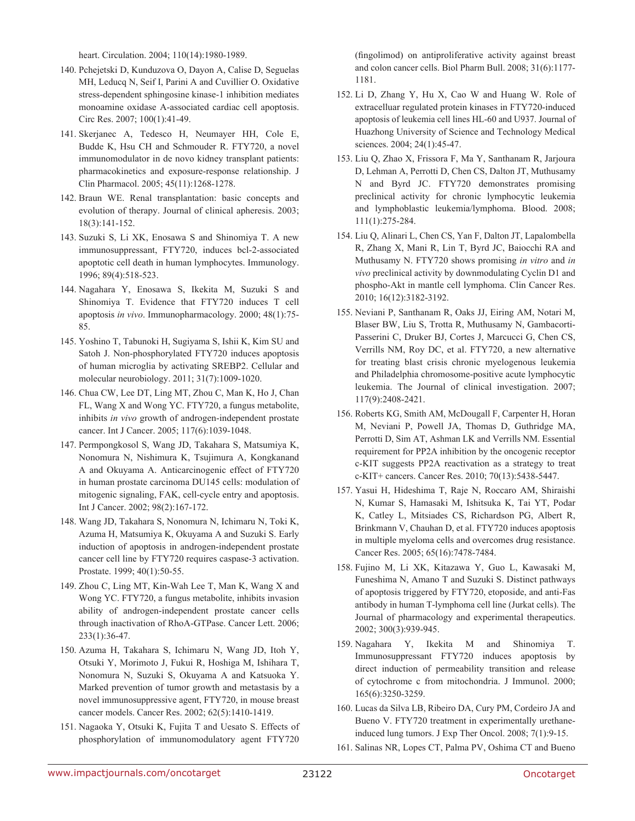heart. Circulation. 2004; 110(14):1980-1989.

- 140. Pchejetski D, Kunduzova O, Dayon A, Calise D, Seguelas MH, Leducq N, Seif I, Parini A and Cuvillier O. Oxidative stress-dependent sphingosine kinase-1 inhibition mediates monoamine oxidase A-associated cardiac cell apoptosis. Circ Res. 2007; 100(1):41-49.
- 141. Skerjanec A, Tedesco H, Neumayer HH, Cole E, Budde K, Hsu CH and Schmouder R. FTY720, a novel immunomodulator in de novo kidney transplant patients: pharmacokinetics and exposure-response relationship. J Clin Pharmacol. 2005; 45(11):1268-1278.
- 142. Braun WE. Renal transplantation: basic concepts and evolution of therapy. Journal of clinical apheresis. 2003; 18(3):141-152.
- 143. Suzuki S, Li XK, Enosawa S and Shinomiya T. A new immunosuppressant, FTY720, induces bcl-2-associated apoptotic cell death in human lymphocytes. Immunology. 1996; 89(4):518-523.
- 144. Nagahara Y, Enosawa S, Ikekita M, Suzuki S and Shinomiya T. Evidence that FTY720 induces T cell apoptosis *in vivo*. Immunopharmacology. 2000; 48(1):75- 85.
- 145. Yoshino T, Tabunoki H, Sugiyama S, Ishii K, Kim SU and Satoh J. Non-phosphorylated FTY720 induces apoptosis of human microglia by activating SREBP2. Cellular and molecular neurobiology. 2011; 31(7):1009-1020.
- 146. Chua CW, Lee DT, Ling MT, Zhou C, Man K, Ho J, Chan FL, Wang X and Wong YC. FTY720, a fungus metabolite, inhibits *in vivo* growth of androgen-independent prostate cancer. Int J Cancer. 2005; 117(6):1039-1048.
- 147. Permpongkosol S, Wang JD, Takahara S, Matsumiya K, Nonomura N, Nishimura K, Tsujimura A, Kongkanand A and Okuyama A. Anticarcinogenic effect of FTY720 in human prostate carcinoma DU145 cells: modulation of mitogenic signaling, FAK, cell-cycle entry and apoptosis. Int J Cancer. 2002; 98(2):167-172.
- 148. Wang JD, Takahara S, Nonomura N, Ichimaru N, Toki K, Azuma H, Matsumiya K, Okuyama A and Suzuki S. Early induction of apoptosis in androgen-independent prostate cancer cell line by FTY720 requires caspase-3 activation. Prostate. 1999; 40(1):50-55.
- 149. Zhou C, Ling MT, Kin-Wah Lee T, Man K, Wang X and Wong YC. FTY720, a fungus metabolite, inhibits invasion ability of androgen-independent prostate cancer cells through inactivation of RhoA-GTPase. Cancer Lett. 2006; 233(1):36-47.
- 150. Azuma H, Takahara S, Ichimaru N, Wang JD, Itoh Y, Otsuki Y, Morimoto J, Fukui R, Hoshiga M, Ishihara T, Nonomura N, Suzuki S, Okuyama A and Katsuoka Y. Marked prevention of tumor growth and metastasis by a novel immunosuppressive agent, FTY720, in mouse breast cancer models. Cancer Res. 2002; 62(5):1410-1419.
- 151. Nagaoka Y, Otsuki K, Fujita T and Uesato S. Effects of phosphorylation of immunomodulatory agent FTY720

(fingolimod) on antiproliferative activity against breast and colon cancer cells. Biol Pharm Bull. 2008; 31(6):1177- 1181.

- 152. Li D, Zhang Y, Hu X, Cao W and Huang W. Role of extracelluar regulated protein kinases in FTY720-induced apoptosis of leukemia cell lines HL-60 and U937. Journal of Huazhong University of Science and Technology Medical sciences. 2004; 24(1):45-47.
- 153. Liu Q, Zhao X, Frissora F, Ma Y, Santhanam R, Jarjoura D, Lehman A, Perrotti D, Chen CS, Dalton JT, Muthusamy N and Byrd JC. FTY720 demonstrates promising preclinical activity for chronic lymphocytic leukemia and lymphoblastic leukemia/lymphoma. Blood. 2008; 111(1):275-284.
- 154. Liu Q, Alinari L, Chen CS, Yan F, Dalton JT, Lapalombella R, Zhang X, Mani R, Lin T, Byrd JC, Baiocchi RA and Muthusamy N. FTY720 shows promising *in vitro* and *in vivo* preclinical activity by downmodulating Cyclin D1 and phospho-Akt in mantle cell lymphoma. Clin Cancer Res. 2010; 16(12):3182-3192.
- 155. Neviani P, Santhanam R, Oaks JJ, Eiring AM, Notari M, Blaser BW, Liu S, Trotta R, Muthusamy N, Gambacorti-Passerini C, Druker BJ, Cortes J, Marcucci G, Chen CS, Verrills NM, Roy DC, et al. FTY720, a new alternative for treating blast crisis chronic myelogenous leukemia and Philadelphia chromosome-positive acute lymphocytic leukemia. The Journal of clinical investigation. 2007; 117(9):2408-2421.
- 156. Roberts KG, Smith AM, McDougall F, Carpenter H, Horan M, Neviani P, Powell JA, Thomas D, Guthridge MA, Perrotti D, Sim AT, Ashman LK and Verrills NM. Essential requirement for PP2A inhibition by the oncogenic receptor c-KIT suggests PP2A reactivation as a strategy to treat c-KIT+ cancers. Cancer Res. 2010; 70(13):5438-5447.
- 157. Yasui H, Hideshima T, Raje N, Roccaro AM, Shiraishi N, Kumar S, Hamasaki M, Ishitsuka K, Tai YT, Podar K, Catley L, Mitsiades CS, Richardson PG, Albert R, Brinkmann V, Chauhan D, et al. FTY720 induces apoptosis in multiple myeloma cells and overcomes drug resistance. Cancer Res. 2005; 65(16):7478-7484.
- 158. Fujino M, Li XK, Kitazawa Y, Guo L, Kawasaki M, Funeshima N, Amano T and Suzuki S. Distinct pathways of apoptosis triggered by FTY720, etoposide, and anti-Fas antibody in human T-lymphoma cell line (Jurkat cells). The Journal of pharmacology and experimental therapeutics. 2002; 300(3):939-945.
- 159. Nagahara Y, Ikekita M and Shinomiya T. Immunosuppressant FTY720 induces apoptosis by direct induction of permeability transition and release of cytochrome c from mitochondria. J Immunol. 2000; 165(6):3250-3259.
- 160. Lucas da Silva LB, Ribeiro DA, Cury PM, Cordeiro JA and Bueno V. FTY720 treatment in experimentally urethaneinduced lung tumors. J Exp Ther Oncol. 2008; 7(1):9-15.
- 161. Salinas NR, Lopes CT, Palma PV, Oshima CT and Bueno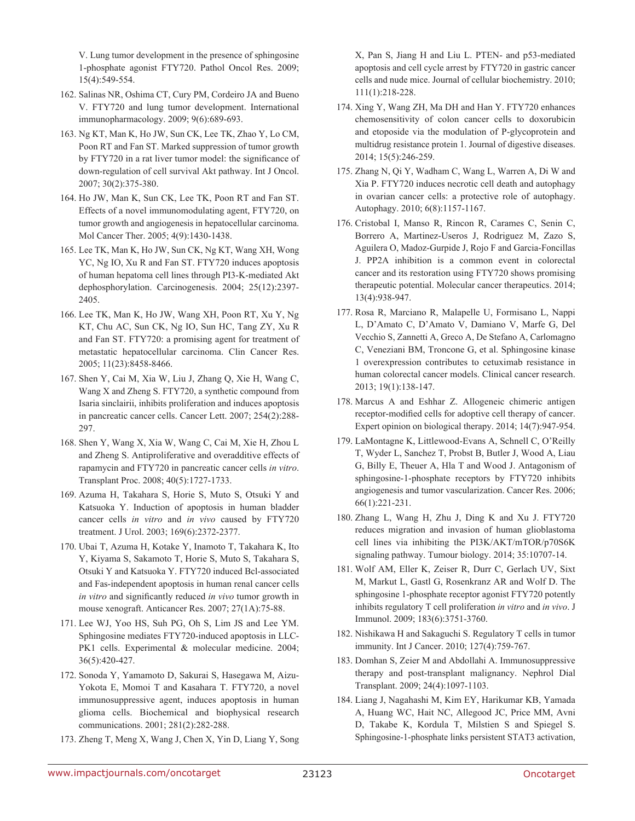V. Lung tumor development in the presence of sphingosine 1-phosphate agonist FTY720. Pathol Oncol Res. 2009; 15(4):549-554.

- 162. Salinas NR, Oshima CT, Cury PM, Cordeiro JA and Bueno V. FTY720 and lung tumor development. International immunopharmacology. 2009; 9(6):689-693.
- 163. Ng KT, Man K, Ho JW, Sun CK, Lee TK, Zhao Y, Lo CM, Poon RT and Fan ST. Marked suppression of tumor growth by FTY720 in a rat liver tumor model: the significance of down-regulation of cell survival Akt pathway. Int J Oncol. 2007; 30(2):375-380.
- 164. Ho JW, Man K, Sun CK, Lee TK, Poon RT and Fan ST. Effects of a novel immunomodulating agent, FTY720, on tumor growth and angiogenesis in hepatocellular carcinoma. Mol Cancer Ther. 2005; 4(9):1430-1438.
- 165. Lee TK, Man K, Ho JW, Sun CK, Ng KT, Wang XH, Wong YC, Ng IO, Xu R and Fan ST. FTY720 induces apoptosis of human hepatoma cell lines through PI3-K-mediated Akt dephosphorylation. Carcinogenesis. 2004; 25(12):2397- 2405.
- 166. Lee TK, Man K, Ho JW, Wang XH, Poon RT, Xu Y, Ng KT, Chu AC, Sun CK, Ng IO, Sun HC, Tang ZY, Xu R and Fan ST. FTY720: a promising agent for treatment of metastatic hepatocellular carcinoma. Clin Cancer Res. 2005; 11(23):8458-8466.
- 167. Shen Y, Cai M, Xia W, Liu J, Zhang Q, Xie H, Wang C, Wang X and Zheng S. FTY720, a synthetic compound from Isaria sinclairii, inhibits proliferation and induces apoptosis in pancreatic cancer cells. Cancer Lett. 2007; 254(2):288- 297.
- 168. Shen Y, Wang X, Xia W, Wang C, Cai M, Xie H, Zhou L and Zheng S. Antiproliferative and overadditive effects of rapamycin and FTY720 in pancreatic cancer cells *in vitro*. Transplant Proc. 2008; 40(5):1727-1733.
- 169. Azuma H, Takahara S, Horie S, Muto S, Otsuki Y and Katsuoka Y. Induction of apoptosis in human bladder cancer cells *in vitro* and *in vivo* caused by FTY720 treatment. J Urol. 2003; 169(6):2372-2377.
- 170. Ubai T, Azuma H, Kotake Y, Inamoto T, Takahara K, Ito Y, Kiyama S, Sakamoto T, Horie S, Muto S, Takahara S, Otsuki Y and Katsuoka Y. FTY720 induced Bcl-associated and Fas-independent apoptosis in human renal cancer cells *in vitro* and significantly reduced *in vivo* tumor growth in mouse xenograft. Anticancer Res. 2007; 27(1A):75-88.
- 171. Lee WJ, Yoo HS, Suh PG, Oh S, Lim JS and Lee YM. Sphingosine mediates FTY720-induced apoptosis in LLC-PK1 cells. Experimental & molecular medicine. 2004; 36(5):420-427.
- 172. Sonoda Y, Yamamoto D, Sakurai S, Hasegawa M, Aizu-Yokota E, Momoi T and Kasahara T. FTY720, a novel immunosuppressive agent, induces apoptosis in human glioma cells. Biochemical and biophysical research communications. 2001; 281(2):282-288.
- 173. Zheng T, Meng X, Wang J, Chen X, Yin D, Liang Y, Song

X, Pan S, Jiang H and Liu L. PTEN- and p53-mediated apoptosis and cell cycle arrest by FTY720 in gastric cancer cells and nude mice. Journal of cellular biochemistry. 2010; 111(1):218-228.

- 174. Xing Y, Wang ZH, Ma DH and Han Y. FTY720 enhances chemosensitivity of colon cancer cells to doxorubicin and etoposide via the modulation of P-glycoprotein and multidrug resistance protein 1. Journal of digestive diseases. 2014; 15(5):246-259.
- 175. Zhang N, Qi Y, Wadham C, Wang L, Warren A, Di W and Xia P. FTY720 induces necrotic cell death and autophagy in ovarian cancer cells: a protective role of autophagy. Autophagy. 2010; 6(8):1157-1167.
- 176. Cristobal I, Manso R, Rincon R, Carames C, Senin C, Borrero A, Martinez-Useros J, Rodriguez M, Zazo S, Aguilera O, Madoz-Gurpide J, Rojo F and Garcia-Foncillas J. PP2A inhibition is a common event in colorectal cancer and its restoration using FTY720 shows promising therapeutic potential. Molecular cancer therapeutics. 2014; 13(4):938-947.
- 177. Rosa R, Marciano R, Malapelle U, Formisano L, Nappi L, D'Amato C, D'Amato V, Damiano V, Marfe G, Del Vecchio S, Zannetti A, Greco A, De Stefano A, Carlomagno C, Veneziani BM, Troncone G, et al. Sphingosine kinase 1 overexpression contributes to cetuximab resistance in human colorectal cancer models. Clinical cancer research. 2013; 19(1):138-147.
- 178. Marcus A and Eshhar Z. Allogeneic chimeric antigen receptor-modified cells for adoptive cell therapy of cancer. Expert opinion on biological therapy. 2014; 14(7):947-954.
- 179. LaMontagne K, Littlewood-Evans A, Schnell C, O'Reilly T, Wyder L, Sanchez T, Probst B, Butler J, Wood A, Liau G, Billy E, Theuer A, Hla T and Wood J. Antagonism of sphingosine-1-phosphate receptors by FTY720 inhibits angiogenesis and tumor vascularization. Cancer Res. 2006; 66(1):221-231.
- 180. Zhang L, Wang H, Zhu J, Ding K and Xu J. FTY720 reduces migration and invasion of human glioblastoma cell lines via inhibiting the PI3K/AKT/mTOR/p70S6K signaling pathway. Tumour biology. 2014; 35:10707-14.
- 181. Wolf AM, Eller K, Zeiser R, Durr C, Gerlach UV, Sixt M, Markut L, Gastl G, Rosenkranz AR and Wolf D. The sphingosine 1-phosphate receptor agonist FTY720 potently inhibits regulatory T cell proliferation *in vitro* and *in vivo*. J Immunol. 2009; 183(6):3751-3760.
- 182. Nishikawa H and Sakaguchi S. Regulatory T cells in tumor immunity. Int J Cancer. 2010; 127(4):759-767.
- 183. Domhan S, Zeier M and Abdollahi A. Immunosuppressive therapy and post-transplant malignancy. Nephrol Dial Transplant. 2009; 24(4):1097-1103.
- 184. Liang J, Nagahashi M, Kim EY, Harikumar KB, Yamada A, Huang WC, Hait NC, Allegood JC, Price MM, Avni D, Takabe K, Kordula T, Milstien S and Spiegel S. Sphingosine-1-phosphate links persistent STAT3 activation,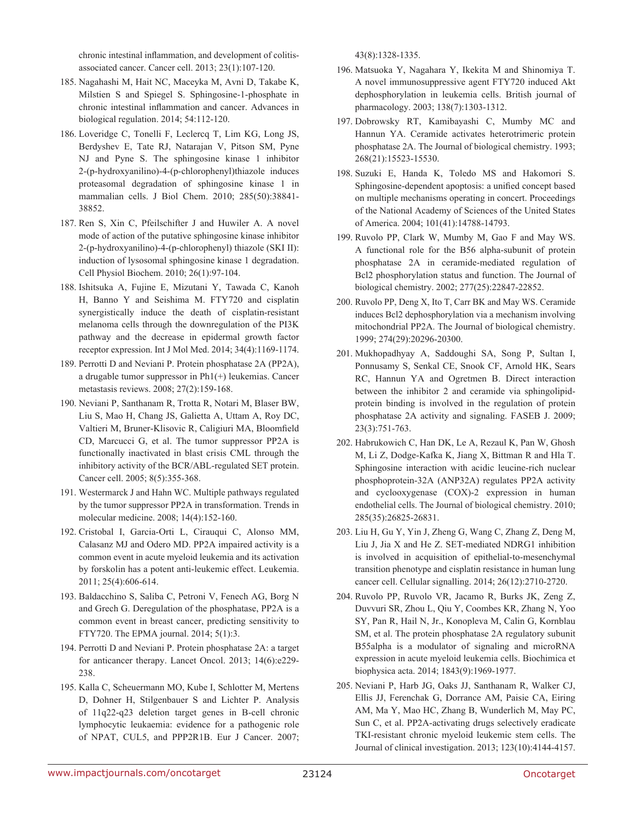chronic intestinal inflammation, and development of colitisassociated cancer. Cancer cell. 2013; 23(1):107-120.

- 185. Nagahashi M, Hait NC, Maceyka M, Avni D, Takabe K, Milstien S and Spiegel S. Sphingosine-1-phosphate in chronic intestinal inflammation and cancer. Advances in biological regulation. 2014; 54:112-120.
- 186. Loveridge C, Tonelli F, Leclercq T, Lim KG, Long JS, Berdyshev E, Tate RJ, Natarajan V, Pitson SM, Pyne NJ and Pyne S. The sphingosine kinase 1 inhibitor 2-(p-hydroxyanilino)-4-(p-chlorophenyl)thiazole induces proteasomal degradation of sphingosine kinase 1 in mammalian cells. J Biol Chem. 2010; 285(50):38841- 38852.
- 187. Ren S, Xin C, Pfeilschifter J and Huwiler A. A novel mode of action of the putative sphingosine kinase inhibitor 2-(p-hydroxyanilino)-4-(p-chlorophenyl) thiazole (SKI II): induction of lysosomal sphingosine kinase 1 degradation. Cell Physiol Biochem. 2010; 26(1):97-104.
- 188. Ishitsuka A, Fujine E, Mizutani Y, Tawada C, Kanoh H, Banno Y and Seishima M. FTY720 and cisplatin synergistically induce the death of cisplatin-resistant melanoma cells through the downregulation of the PI3K pathway and the decrease in epidermal growth factor receptor expression. Int J Mol Med. 2014; 34(4):1169-1174.
- 189. Perrotti D and Neviani P. Protein phosphatase 2A (PP2A), a drugable tumor suppressor in Ph1(+) leukemias. Cancer metastasis reviews. 2008; 27(2):159-168.
- 190. Neviani P, Santhanam R, Trotta R, Notari M, Blaser BW, Liu S, Mao H, Chang JS, Galietta A, Uttam A, Roy DC, Valtieri M, Bruner-Klisovic R, Caligiuri MA, Bloomfield CD, Marcucci G, et al. The tumor suppressor PP2A is functionally inactivated in blast crisis CML through the inhibitory activity of the BCR/ABL-regulated SET protein. Cancer cell. 2005; 8(5):355-368.
- 191. Westermarck J and Hahn WC. Multiple pathways regulated by the tumor suppressor PP2A in transformation. Trends in molecular medicine. 2008; 14(4):152-160.
- 192. Cristobal I, Garcia-Orti L, Cirauqui C, Alonso MM, Calasanz MJ and Odero MD. PP2A impaired activity is a common event in acute myeloid leukemia and its activation by forskolin has a potent anti-leukemic effect. Leukemia. 2011; 25(4):606-614.
- 193. Baldacchino S, Saliba C, Petroni V, Fenech AG, Borg N and Grech G. Deregulation of the phosphatase, PP2A is a common event in breast cancer, predicting sensitivity to FTY720. The EPMA journal. 2014; 5(1):3.
- 194. Perrotti D and Neviani P. Protein phosphatase 2A: a target for anticancer therapy. Lancet Oncol. 2013; 14(6):e229- 238.
- 195. Kalla C, Scheuermann MO, Kube I, Schlotter M, Mertens D, Dohner H, Stilgenbauer S and Lichter P. Analysis of 11q22-q23 deletion target genes in B-cell chronic lymphocytic leukaemia: evidence for a pathogenic role of NPAT, CUL5, and PPP2R1B. Eur J Cancer. 2007;

43(8):1328-1335.

- 196. Matsuoka Y, Nagahara Y, Ikekita M and Shinomiya T. A novel immunosuppressive agent FTY720 induced Akt dephosphorylation in leukemia cells. British journal of pharmacology. 2003; 138(7):1303-1312.
- 197. Dobrowsky RT, Kamibayashi C, Mumby MC and Hannun YA. Ceramide activates heterotrimeric protein phosphatase 2A. The Journal of biological chemistry. 1993; 268(21):15523-15530.
- 198. Suzuki E, Handa K, Toledo MS and Hakomori S. Sphingosine-dependent apoptosis: a unified concept based on multiple mechanisms operating in concert. Proceedings of the National Academy of Sciences of the United States of America. 2004; 101(41):14788-14793.
- 199. Ruvolo PP, Clark W, Mumby M, Gao F and May WS. A functional role for the B56 alpha-subunit of protein phosphatase 2A in ceramide-mediated regulation of Bcl2 phosphorylation status and function. The Journal of biological chemistry. 2002; 277(25):22847-22852.
- 200. Ruvolo PP, Deng X, Ito T, Carr BK and May WS. Ceramide induces Bcl2 dephosphorylation via a mechanism involving mitochondrial PP2A. The Journal of biological chemistry. 1999; 274(29):20296-20300.
- 201. Mukhopadhyay A, Saddoughi SA, Song P, Sultan I, Ponnusamy S, Senkal CE, Snook CF, Arnold HK, Sears RC, Hannun YA and Ogretmen B. Direct interaction between the inhibitor 2 and ceramide via sphingolipidprotein binding is involved in the regulation of protein phosphatase 2A activity and signaling. FASEB J. 2009; 23(3):751-763.
- 202. Habrukowich C, Han DK, Le A, Rezaul K, Pan W, Ghosh M, Li Z, Dodge-Kafka K, Jiang X, Bittman R and Hla T. Sphingosine interaction with acidic leucine-rich nuclear phosphoprotein-32A (ANP32A) regulates PP2A activity and cyclooxygenase (COX)-2 expression in human endothelial cells. The Journal of biological chemistry. 2010; 285(35):26825-26831.
- 203. Liu H, Gu Y, Yin J, Zheng G, Wang C, Zhang Z, Deng M, Liu J, Jia X and He Z. SET-mediated NDRG1 inhibition is involved in acquisition of epithelial-to-mesenchymal transition phenotype and cisplatin resistance in human lung cancer cell. Cellular signalling. 2014; 26(12):2710-2720.
- 204. Ruvolo PP, Ruvolo VR, Jacamo R, Burks JK, Zeng Z, Duvvuri SR, Zhou L, Qiu Y, Coombes KR, Zhang N, Yoo SY, Pan R, Hail N, Jr., Konopleva M, Calin G, Kornblau SM, et al. The protein phosphatase 2A regulatory subunit B55alpha is a modulator of signaling and microRNA expression in acute myeloid leukemia cells. Biochimica et biophysica acta. 2014; 1843(9):1969-1977.
- 205. Neviani P, Harb JG, Oaks JJ, Santhanam R, Walker CJ, Ellis JJ, Ferenchak G, Dorrance AM, Paisie CA, Eiring AM, Ma Y, Mao HC, Zhang B, Wunderlich M, May PC, Sun C, et al. PP2A-activating drugs selectively eradicate TKI-resistant chronic myeloid leukemic stem cells. The Journal of clinical investigation. 2013; 123(10):4144-4157.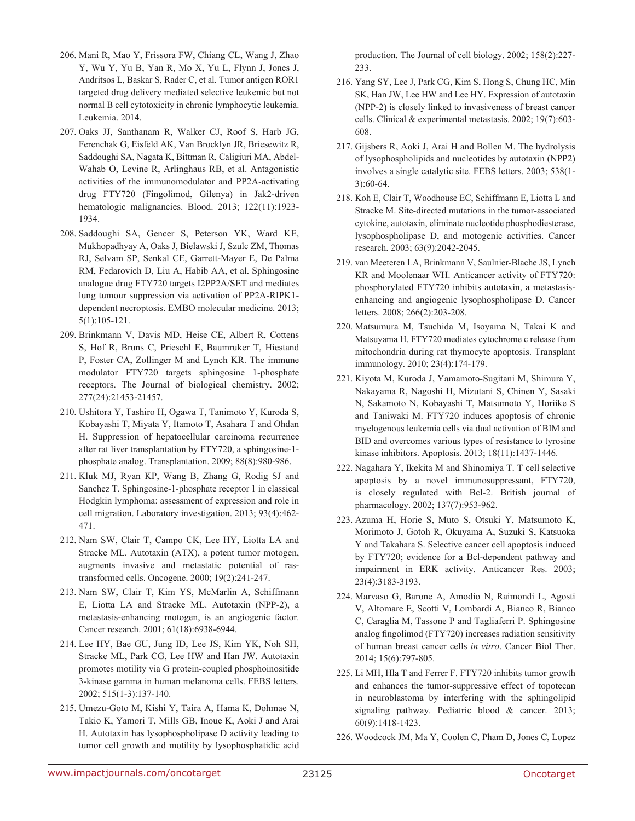- 206. Mani R, Mao Y, Frissora FW, Chiang CL, Wang J, Zhao Y, Wu Y, Yu B, Yan R, Mo X, Yu L, Flynn J, Jones J, Andritsos L, Baskar S, Rader C, et al. Tumor antigen ROR1 targeted drug delivery mediated selective leukemic but not normal B cell cytotoxicity in chronic lymphocytic leukemia. Leukemia. 2014.
- 207. Oaks JJ, Santhanam R, Walker CJ, Roof S, Harb JG, Ferenchak G, Eisfeld AK, Van Brocklyn JR, Briesewitz R, Saddoughi SA, Nagata K, Bittman R, Caligiuri MA, Abdel-Wahab O, Levine R, Arlinghaus RB, et al. Antagonistic activities of the immunomodulator and PP2A-activating drug FTY720 (Fingolimod, Gilenya) in Jak2-driven hematologic malignancies. Blood. 2013; 122(11):1923- 1934.
- 208. Saddoughi SA, Gencer S, Peterson YK, Ward KE, Mukhopadhyay A, Oaks J, Bielawski J, Szulc ZM, Thomas RJ, Selvam SP, Senkal CE, Garrett-Mayer E, De Palma RM, Fedarovich D, Liu A, Habib AA, et al. Sphingosine analogue drug FTY720 targets I2PP2A/SET and mediates lung tumour suppression via activation of PP2A-RIPK1 dependent necroptosis. EMBO molecular medicine. 2013; 5(1):105-121.
- 209. Brinkmann V, Davis MD, Heise CE, Albert R, Cottens S, Hof R, Bruns C, Prieschl E, Baumruker T, Hiestand P, Foster CA, Zollinger M and Lynch KR. The immune modulator FTY720 targets sphingosine 1-phosphate receptors. The Journal of biological chemistry. 2002; 277(24):21453-21457.
- 210. Ushitora Y, Tashiro H, Ogawa T, Tanimoto Y, Kuroda S, Kobayashi T, Miyata Y, Itamoto T, Asahara T and Ohdan H. Suppression of hepatocellular carcinoma recurrence after rat liver transplantation by FTY720, a sphingosine-1 phosphate analog. Transplantation. 2009; 88(8):980-986.
- 211. Kluk MJ, Ryan KP, Wang B, Zhang G, Rodig SJ and Sanchez T. Sphingosine-1-phosphate receptor 1 in classical Hodgkin lymphoma: assessment of expression and role in cell migration. Laboratory investigation. 2013; 93(4):462- 471.
- 212. Nam SW, Clair T, Campo CK, Lee HY, Liotta LA and Stracke ML. Autotaxin (ATX), a potent tumor motogen, augments invasive and metastatic potential of rastransformed cells. Oncogene. 2000; 19(2):241-247.
- 213. Nam SW, Clair T, Kim YS, McMarlin A, Schiffmann E, Liotta LA and Stracke ML. Autotaxin (NPP-2), a metastasis-enhancing motogen, is an angiogenic factor. Cancer research. 2001; 61(18):6938-6944.
- 214. Lee HY, Bae GU, Jung ID, Lee JS, Kim YK, Noh SH, Stracke ML, Park CG, Lee HW and Han JW. Autotaxin promotes motility via G protein-coupled phosphoinositide 3-kinase gamma in human melanoma cells. FEBS letters. 2002; 515(1-3):137-140.
- 215. Umezu-Goto M, Kishi Y, Taira A, Hama K, Dohmae N, Takio K, Yamori T, Mills GB, Inoue K, Aoki J and Arai H. Autotaxin has lysophospholipase D activity leading to tumor cell growth and motility by lysophosphatidic acid

production. The Journal of cell biology. 2002; 158(2):227- 233.

- 216. Yang SY, Lee J, Park CG, Kim S, Hong S, Chung HC, Min SK, Han JW, Lee HW and Lee HY. Expression of autotaxin (NPP-2) is closely linked to invasiveness of breast cancer cells. Clinical & experimental metastasis. 2002; 19(7):603- 608.
- 217. Gijsbers R, Aoki J, Arai H and Bollen M. The hydrolysis of lysophospholipids and nucleotides by autotaxin (NPP2) involves a single catalytic site. FEBS letters. 2003; 538(1- 3):60-64.
- 218. Koh E, Clair T, Woodhouse EC, Schiffmann E, Liotta L and Stracke M. Site-directed mutations in the tumor-associated cytokine, autotaxin, eliminate nucleotide phosphodiesterase, lysophospholipase D, and motogenic activities. Cancer research. 2003; 63(9):2042-2045.
- 219. van Meeteren LA, Brinkmann V, Saulnier-Blache JS, Lynch KR and Moolenaar WH. Anticancer activity of FTY720: phosphorylated FTY720 inhibits autotaxin, a metastasisenhancing and angiogenic lysophospholipase D. Cancer letters. 2008; 266(2):203-208.
- 220. Matsumura M, Tsuchida M, Isoyama N, Takai K and Matsuyama H. FTY720 mediates cytochrome c release from mitochondria during rat thymocyte apoptosis. Transplant immunology. 2010; 23(4):174-179.
- 221. Kiyota M, Kuroda J, Yamamoto-Sugitani M, Shimura Y, Nakayama R, Nagoshi H, Mizutani S, Chinen Y, Sasaki N, Sakamoto N, Kobayashi T, Matsumoto Y, Horiike S and Taniwaki M. FTY720 induces apoptosis of chronic myelogenous leukemia cells via dual activation of BIM and BID and overcomes various types of resistance to tyrosine kinase inhibitors. Apoptosis. 2013; 18(11):1437-1446.
- 222. Nagahara Y, Ikekita M and Shinomiya T. T cell selective apoptosis by a novel immunosuppressant, FTY720, is closely regulated with Bcl-2. British journal of pharmacology. 2002; 137(7):953-962.
- 223. Azuma H, Horie S, Muto S, Otsuki Y, Matsumoto K, Morimoto J, Gotoh R, Okuyama A, Suzuki S, Katsuoka Y and Takahara S. Selective cancer cell apoptosis induced by FTY720; evidence for a Bcl-dependent pathway and impairment in ERK activity. Anticancer Res. 2003; 23(4):3183-3193.
- 224. Marvaso G, Barone A, Amodio N, Raimondi L, Agosti V, Altomare E, Scotti V, Lombardi A, Bianco R, Bianco C, Caraglia M, Tassone P and Tagliaferri P. Sphingosine analog fingolimod (FTY720) increases radiation sensitivity of human breast cancer cells *in vitro*. Cancer Biol Ther. 2014; 15(6):797-805.
- 225. Li MH, Hla T and Ferrer F. FTY720 inhibits tumor growth and enhances the tumor-suppressive effect of topotecan in neuroblastoma by interfering with the sphingolipid signaling pathway. Pediatric blood & cancer. 2013; 60(9):1418-1423.
- 226. Woodcock JM, Ma Y, Coolen C, Pham D, Jones C, Lopez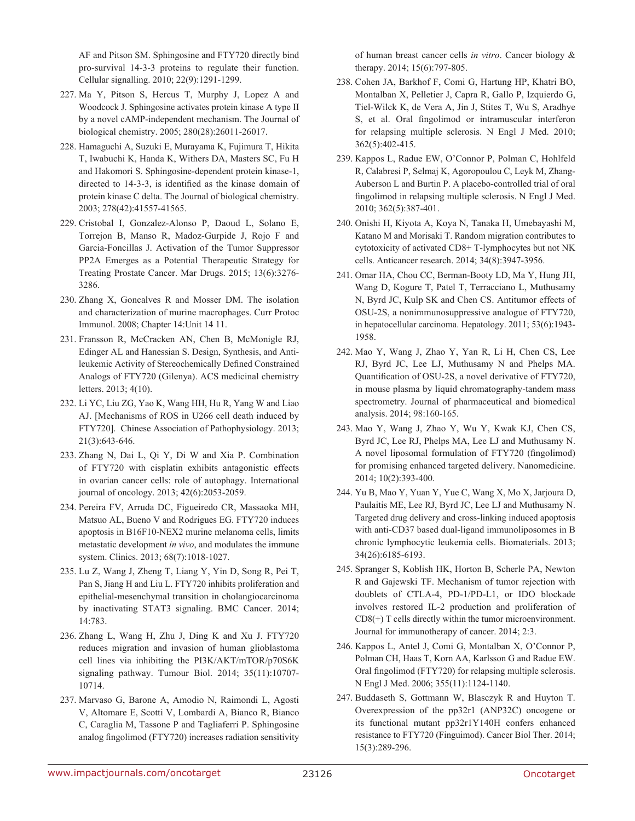AF and Pitson SM. Sphingosine and FTY720 directly bind pro-survival 14-3-3 proteins to regulate their function. Cellular signalling. 2010; 22(9):1291-1299.

- 227. Ma Y, Pitson S, Hercus T, Murphy J, Lopez A and Woodcock J. Sphingosine activates protein kinase A type II by a novel cAMP-independent mechanism. The Journal of biological chemistry. 2005; 280(28):26011-26017.
- 228. Hamaguchi A, Suzuki E, Murayama K, Fujimura T, Hikita T, Iwabuchi K, Handa K, Withers DA, Masters SC, Fu H and Hakomori S. Sphingosine-dependent protein kinase-1, directed to 14-3-3, is identified as the kinase domain of protein kinase C delta. The Journal of biological chemistry. 2003; 278(42):41557-41565.
- 229. Cristobal I, Gonzalez-Alonso P, Daoud L, Solano E, Torrejon B, Manso R, Madoz-Gurpide J, Rojo F and Garcia-Foncillas J. Activation of the Tumor Suppressor PP2A Emerges as a Potential Therapeutic Strategy for Treating Prostate Cancer. Mar Drugs. 2015; 13(6):3276- 3286.
- 230. Zhang X, Goncalves R and Mosser DM. The isolation and characterization of murine macrophages. Curr Protoc Immunol. 2008; Chapter 14:Unit 14 11.
- 231. Fransson R, McCracken AN, Chen B, McMonigle RJ, Edinger AL and Hanessian S. Design, Synthesis, and Antileukemic Activity of Stereochemically Defined Constrained Analogs of FTY720 (Gilenya). ACS medicinal chemistry letters. 2013; 4(10).
- 232. Li YC, Liu ZG, Yao K, Wang HH, Hu R, Yang W and Liao AJ. [Mechanisms of ROS in U266 cell death induced by FTY720]. Chinese Association of Pathophysiology. 2013; 21(3):643-646.
- 233. Zhang N, Dai L, Qi Y, Di W and Xia P. Combination of FTY720 with cisplatin exhibits antagonistic effects in ovarian cancer cells: role of autophagy. International journal of oncology. 2013; 42(6):2053-2059.
- 234. Pereira FV, Arruda DC, Figueiredo CR, Massaoka MH, Matsuo AL, Bueno V and Rodrigues EG. FTY720 induces apoptosis in B16F10-NEX2 murine melanoma cells, limits metastatic development *in vivo*, and modulates the immune system. Clinics. 2013; 68(7):1018-1027.
- 235. Lu Z, Wang J, Zheng T, Liang Y, Yin D, Song R, Pei T, Pan S, Jiang H and Liu L. FTY720 inhibits proliferation and epithelial-mesenchymal transition in cholangiocarcinoma by inactivating STAT3 signaling. BMC Cancer. 2014; 14:783.
- 236. Zhang L, Wang H, Zhu J, Ding K and Xu J. FTY720 reduces migration and invasion of human glioblastoma cell lines via inhibiting the PI3K/AKT/mTOR/p70S6K signaling pathway. Tumour Biol. 2014; 35(11):10707- 10714.
- 237. Marvaso G, Barone A, Amodio N, Raimondi L, Agosti V, Altomare E, Scotti V, Lombardi A, Bianco R, Bianco C, Caraglia M, Tassone P and Tagliaferri P. Sphingosine analog fingolimod (FTY720) increases radiation sensitivity

of human breast cancer cells *in vitro*. Cancer biology & therapy. 2014; 15(6):797-805.

- 238. Cohen JA, Barkhof F, Comi G, Hartung HP, Khatri BO, Montalban X, Pelletier J, Capra R, Gallo P, Izquierdo G, Tiel-Wilck K, de Vera A, Jin J, Stites T, Wu S, Aradhye S, et al. Oral fingolimod or intramuscular interferon for relapsing multiple sclerosis. N Engl J Med. 2010; 362(5):402-415.
- 239. Kappos L, Radue EW, O'Connor P, Polman C, Hohlfeld R, Calabresi P, Selmaj K, Agoropoulou C, Leyk M, Zhang-Auberson L and Burtin P. A placebo-controlled trial of oral fingolimod in relapsing multiple sclerosis. N Engl J Med. 2010; 362(5):387-401.
- 240. Onishi H, Kiyota A, Koya N, Tanaka H, Umebayashi M, Katano M and Morisaki T. Random migration contributes to cytotoxicity of activated CD8+ T-lymphocytes but not NK cells. Anticancer research. 2014; 34(8):3947-3956.
- 241. Omar HA, Chou CC, Berman-Booty LD, Ma Y, Hung JH, Wang D, Kogure T, Patel T, Terracciano L, Muthusamy N, Byrd JC, Kulp SK and Chen CS. Antitumor effects of OSU-2S, a nonimmunosuppressive analogue of FTY720, in hepatocellular carcinoma. Hepatology. 2011; 53(6):1943- 1958.
- 242. Mao Y, Wang J, Zhao Y, Yan R, Li H, Chen CS, Lee RJ, Byrd JC, Lee LJ, Muthusamy N and Phelps MA. Quantification of OSU-2S, a novel derivative of FTY720, in mouse plasma by liquid chromatography-tandem mass spectrometry. Journal of pharmaceutical and biomedical analysis. 2014; 98:160-165.
- 243. Mao Y, Wang J, Zhao Y, Wu Y, Kwak KJ, Chen CS, Byrd JC, Lee RJ, Phelps MA, Lee LJ and Muthusamy N. A novel liposomal formulation of FTY720 (fingolimod) for promising enhanced targeted delivery. Nanomedicine. 2014; 10(2):393-400.
- 244. Yu B, Mao Y, Yuan Y, Yue C, Wang X, Mo X, Jarjoura D, Paulaitis ME, Lee RJ, Byrd JC, Lee LJ and Muthusamy N. Targeted drug delivery and cross-linking induced apoptosis with anti-CD37 based dual-ligand immunoliposomes in B chronic lymphocytic leukemia cells. Biomaterials. 2013; 34(26):6185-6193.
- 245. Spranger S, Koblish HK, Horton B, Scherle PA, Newton R and Gajewski TF. Mechanism of tumor rejection with doublets of CTLA-4, PD-1/PD-L1, or IDO blockade involves restored IL-2 production and proliferation of CD8(+) T cells directly within the tumor microenvironment. Journal for immunotherapy of cancer. 2014; 2:3.
- 246. Kappos L, Antel J, Comi G, Montalban X, O'Connor P, Polman CH, Haas T, Korn AA, Karlsson G and Radue EW. Oral fingolimod (FTY720) for relapsing multiple sclerosis. N Engl J Med. 2006; 355(11):1124-1140.
- 247. Buddaseth S, Gottmann W, Blasczyk R and Huyton T. Overexpression of the pp32r1 (ANP32C) oncogene or its functional mutant pp32r1Y140H confers enhanced resistance to FTY720 (Finguimod). Cancer Biol Ther. 2014; 15(3):289-296.